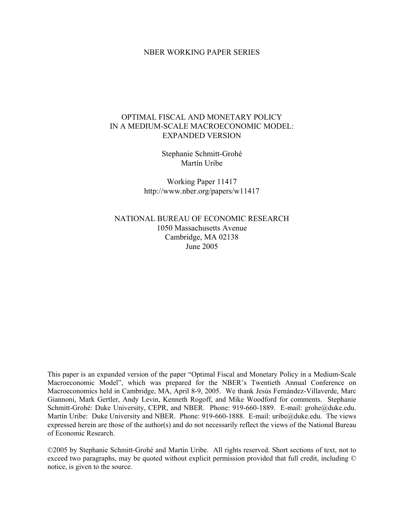#### NBER WORKING PAPER SERIES

### OPTIMAL FISCAL AND MONETARY POLICY IN A MEDIUM-SCALE MACROECONOMIC MODEL: EXPANDED VERSION

Stephanie Schmitt-Grohé Martín Uribe

Working Paper 11417 http://www.nber.org/papers/w11417

NATIONAL BUREAU OF ECONOMIC RESEARCH 1050 Massachusetts Avenue Cambridge, MA 02138 June 2005

This paper is an expanded version of the paper "Optimal Fiscal and Monetary Policy in a Medium-Scale Macroeconomic Model", which was prepared for the NBER's Twentieth Annual Conference on Macroeconomics held in Cambridge, MA, April 8-9, 2005. We thank Jesús Fernández-Villaverde, Marc Giannoni, Mark Gertler, Andy Levin, Kenneth Rogoff, and Mike Woodford for comments. Stephanie Schmitt-Grohé: Duke University, CEPR, and NBER. Phone: 919-660-1889. E-mail: grohe@duke.edu. Martín Uribe: Duke University and NBER. Phone: 919-660-1888. E-mail: uribe@duke.edu. The views expressed herein are those of the author(s) and do not necessarily reflect the views of the National Bureau of Economic Research.

©2005 by Stephanie Schmitt-Grohé and Martín Uribe. All rights reserved. Short sections of text, not to exceed two paragraphs, may be quoted without explicit permission provided that full credit, including © notice, is given to the source.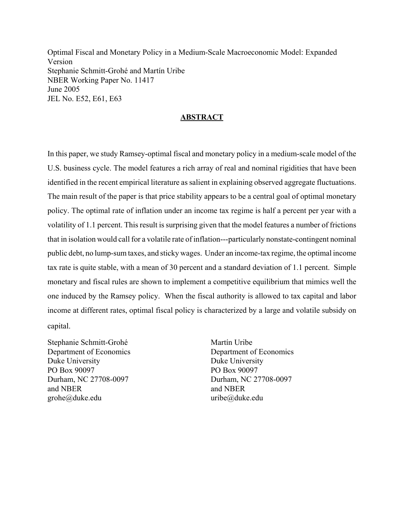Optimal Fiscal and Monetary Policy in a Medium-Scale Macroeconomic Model: Expanded Version Stephanie Schmitt-Grohé and Martín Uribe NBER Working Paper No. 11417 June 2005 JEL No. E52, E61, E63

#### **ABSTRACT**

In this paper, we study Ramsey-optimal fiscal and monetary policy in a medium-scale model of the U.S. business cycle. The model features a rich array of real and nominal rigidities that have been identified in the recent empirical literature as salient in explaining observed aggregate fluctuations. The main result of the paper is that price stability appears to be a central goal of optimal monetary policy. The optimal rate of inflation under an income tax regime is half a percent per year with a volatility of 1.1 percent. This result is surprising given that the model features a number of frictions that in isolation would call for a volatile rate of inflation---particularly nonstate-contingent nominal public debt, no lump-sum taxes, and sticky wages. Under an income-tax regime, the optimal income tax rate is quite stable, with a mean of 30 percent and a standard deviation of 1.1 percent. Simple monetary and fiscal rules are shown to implement a competitive equilibrium that mimics well the one induced by the Ramsey policy. When the fiscal authority is allowed to tax capital and labor income at different rates, optimal fiscal policy is characterized by a large and volatile subsidy on capital.

Stephanie Schmitt-Grohé Department of Economics Duke University PO Box 90097 Durham, NC 27708-0097 and NBER grohe@duke.edu

Martín Uribe Department of Economics Duke University PO Box 90097 Durham, NC 27708-0097 and NBER uribe@duke.edu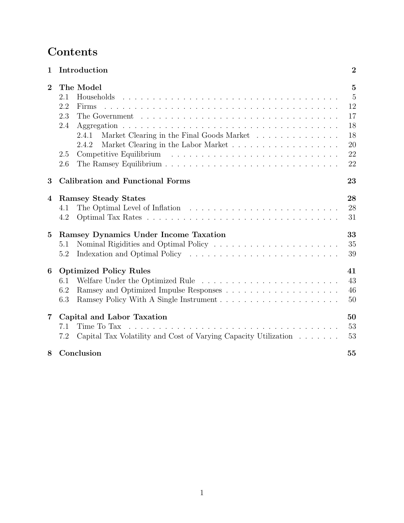# **Contents**

| $\mathbf 1$    | Introduction                                                                                         | $\overline{2}$ |
|----------------|------------------------------------------------------------------------------------------------------|----------------|
| $\overline{2}$ | The Model                                                                                            | $\overline{5}$ |
|                | 2.1<br>Households                                                                                    | $\overline{5}$ |
|                | 2.2<br>Firms                                                                                         | 12             |
|                | 2.3<br>The Government $\ldots \ldots \ldots \ldots \ldots \ldots \ldots \ldots \ldots \ldots \ldots$ | 17             |
|                | 2.4                                                                                                  | 18             |
|                | Market Clearing in the Final Goods Market<br>2.4.1                                                   | 18             |
|                | 2.4.2                                                                                                | 20             |
|                | 2.5                                                                                                  | 22             |
|                | 2.6                                                                                                  | 22             |
| 3              | <b>Calibration and Functional Forms</b>                                                              | 23             |
| 4              | <b>Ramsey Steady States</b>                                                                          | 28             |
|                | 4.1                                                                                                  | 28             |
|                | 4.2                                                                                                  | 31             |
| $\mathbf{5}$   | Ramsey Dynamics Under Income Taxation                                                                | 33             |
|                | 5.1                                                                                                  | 35             |
|                | 5.2                                                                                                  | 39             |
| 6              | <b>Optimized Policy Rules</b>                                                                        | 41             |
|                | 6.1                                                                                                  | 43             |
|                | 6.2                                                                                                  | 46             |
|                | 6.3                                                                                                  | 50             |
| 7              | Capital and Labor Taxation                                                                           | 50             |
|                | Time To Tax<br>7.1                                                                                   | 53             |
|                | 7.2<br>Capital Tax Volatility and Cost of Varying Capacity Utilization                               | 53             |
| 8              | Conclusion                                                                                           | 55             |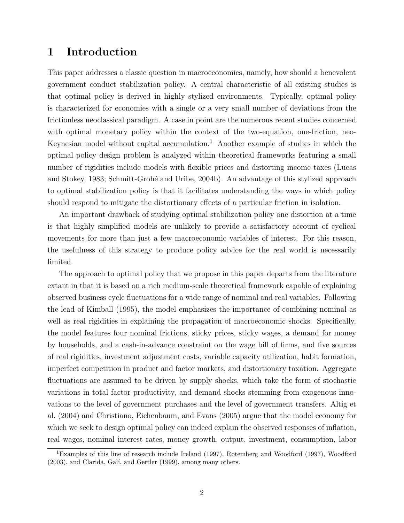### **1 Introduction**

This paper addresses a classic question in macroeconomics, namely, how should a benevolent government conduct stabilization policy. A central characteristic of all existing studies is that optimal policy is derived in highly stylized environments. Typically, optimal policy is characterized for economies with a single or a very small number of deviations from the frictionless neoclassical paradigm. A case in point are the numerous recent studies concerned with optimal monetary policy within the context of the two-equation, one-friction, neo-Keynesian model without capital accumulation.<sup>1</sup> Another example of studies in which the optimal policy design problem is analyzed within theoretical frameworks featuring a small number of rigidities include models with flexible prices and distorting income taxes (Lucas and Stokey, 1983; Schmitt-Grohé and Uribe, 2004b). An advantage of this stylized approach to optimal stabilization policy is that it facilitates understanding the ways in which policy should respond to mitigate the distortionary effects of a particular friction in isolation.

An important drawback of studying optimal stabilization policy one distortion at a time is that highly simplified models are unlikely to provide a satisfactory account of cyclical movements for more than just a few macroeconomic variables of interest. For this reason, the usefulness of this strategy to produce policy advice for the real world is necessarily limited.

The approach to optimal policy that we propose in this paper departs from the literature extant in that it is based on a rich medium-scale theoretical framework capable of explaining observed business cycle fluctuations for a wide range of nominal and real variables. Following the lead of Kimball (1995), the model emphasizes the importance of combining nominal as well as real rigidities in explaining the propagation of macroeconomic shocks. Specifically, the model features four nominal frictions, sticky prices, sticky wages, a demand for money by households, and a cash-in-advance constraint on the wage bill of firms, and five sources of real rigidities, investment adjustment costs, variable capacity utilization, habit formation, imperfect competition in product and factor markets, and distortionary taxation. Aggregate fluctuations are assumed to be driven by supply shocks, which take the form of stochastic variations in total factor productivity, and demand shocks stemming from exogenous innovations to the level of government purchases and the level of government transfers. Altig et al. (2004) and Christiano, Eichenbaum, and Evans (2005) argue that the model economy for which we seek to design optimal policy can indeed explain the observed responses of inflation, real wages, nominal interest rates, money growth, output, investment, consumption, labor

<sup>&</sup>lt;sup>1</sup>Examples of this line of research include Ireland (1997), Rotemberg and Woodford (1997), Woodford  $(2003)$ , and Clarida, Galí, and Gertler  $(1999)$ , among many others.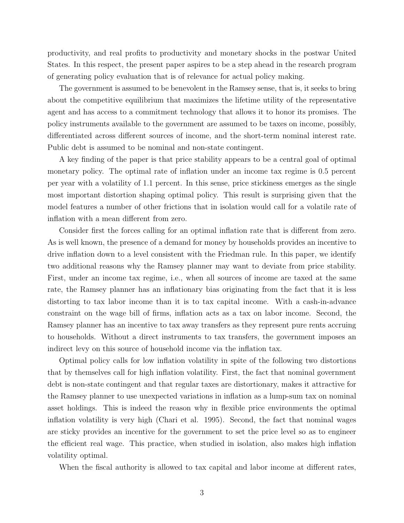productivity, and real profits to productivity and monetary shocks in the postwar United States. In this respect, the present paper aspires to be a step ahead in the research program of generating policy evaluation that is of relevance for actual policy making.

The government is assumed to be benevolent in the Ramsey sense, that is, it seeks to bring about the competitive equilibrium that maximizes the lifetime utility of the representative agent and has access to a commitment technology that allows it to honor its promises. The policy instruments available to the government are assumed to be taxes on income, possibly, differentiated across different sources of income, and the short-term nominal interest rate. Public debt is assumed to be nominal and non-state contingent.

A key finding of the paper is that price stability appears to be a central goal of optimal monetary policy. The optimal rate of inflation under an income tax regime is 0.5 percent per year with a volatility of 1.1 percent. In this sense, price stickiness emerges as the single most important distortion shaping optimal policy. This result is surprising given that the model features a number of other frictions that in isolation would call for a volatile rate of inflation with a mean different from zero.

Consider first the forces calling for an optimal inflation rate that is different from zero. As is well known, the presence of a demand for money by households provides an incentive to drive inflation down to a level consistent with the Friedman rule. In this paper, we identify two additional reasons why the Ramsey planner may want to deviate from price stability. First, under an income tax regime, i.e., when all sources of income are taxed at the same rate, the Ramsey planner has an inflationary bias originating from the fact that it is less distorting to tax labor income than it is to tax capital income. With a cash-in-advance constraint on the wage bill of firms, inflation acts as a tax on labor income. Second, the Ramsey planner has an incentive to tax away transfers as they represent pure rents accruing to households. Without a direct instruments to tax transfers, the government imposes an indirect levy on this source of household income via the inflation tax.

Optimal policy calls for low inflation volatility in spite of the following two distortions that by themselves call for high inflation volatility. First, the fact that nominal government debt is non-state contingent and that regular taxes are distortionary, makes it attractive for the Ramsey planner to use unexpected variations in inflation as a lump-sum tax on nominal asset holdings. This is indeed the reason why in flexible price environments the optimal inflation volatility is very high (Chari et al. 1995). Second, the fact that nominal wages are sticky provides an incentive for the government to set the price level so as to engineer the efficient real wage. This practice, when studied in isolation, also makes high inflation volatility optimal.

When the fiscal authority is allowed to tax capital and labor income at different rates,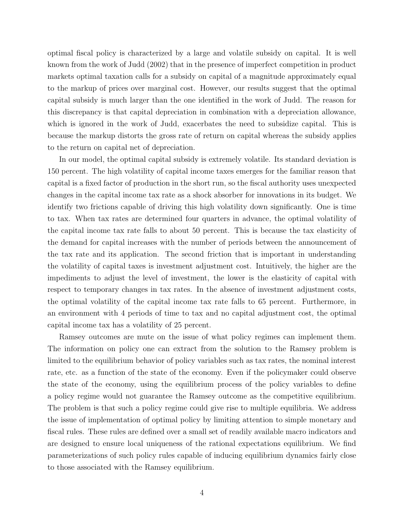optimal fiscal policy is characterized by a large and volatile subsidy on capital. It is well known from the work of Judd (2002) that in the presence of imperfect competition in product markets optimal taxation calls for a subsidy on capital of a magnitude approximately equal to the markup of prices over marginal cost. However, our results suggest that the optimal capital subsidy is much larger than the one identified in the work of Judd. The reason for this discrepancy is that capital depreciation in combination with a depreciation allowance, which is ignored in the work of Judd, exacerbates the need to subsidize capital. This is because the markup distorts the gross rate of return on capital whereas the subsidy applies to the return on capital net of depreciation.

In our model, the optimal capital subsidy is extremely volatile. Its standard deviation is 150 percent. The high volatility of capital income taxes emerges for the familiar reason that capital is a fixed factor of production in the short run, so the fiscal authority uses unexpected changes in the capital income tax rate as a shock absorber for innovations in its budget. We identify two frictions capable of driving this high volatility down significantly. One is time to tax. When tax rates are determined four quarters in advance, the optimal volatility of the capital income tax rate falls to about 50 percent. This is because the tax elasticity of the demand for capital increases with the number of periods between the announcement of the tax rate and its application. The second friction that is important in understanding the volatility of capital taxes is investment adjustment cost. Intuitively, the higher are the impediments to adjust the level of investment, the lower is the elasticity of capital with respect to temporary changes in tax rates. In the absence of investment adjustment costs, the optimal volatility of the capital income tax rate falls to 65 percent. Furthermore, in an environment with 4 periods of time to tax and no capital adjustment cost, the optimal capital income tax has a volatility of 25 percent.

Ramsey outcomes are mute on the issue of what policy regimes can implement them. The information on policy one can extract from the solution to the Ramsey problem is limited to the equilibrium behavior of policy variables such as tax rates, the nominal interest rate, etc. as a function of the state of the economy. Even if the policymaker could observe the state of the economy, using the equilibrium process of the policy variables to define a policy regime would not guarantee the Ramsey outcome as the competitive equilibrium. The problem is that such a policy regime could give rise to multiple equilibria. We address the issue of implementation of optimal policy by limiting attention to simple monetary and fiscal rules. These rules are defined over a small set of readily available macro indicators and are designed to ensure local uniqueness of the rational expectations equilibrium. We find parameterizations of such policy rules capable of inducing equilibrium dynamics fairly close to those associated with the Ramsey equilibrium.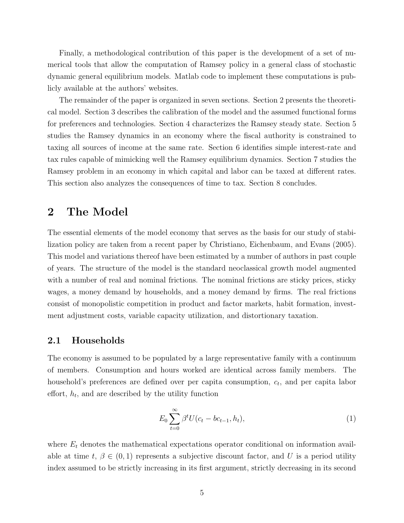Finally, a methodological contribution of this paper is the development of a set of numerical tools that allow the computation of Ramsey policy in a general class of stochastic dynamic general equilibrium models. Matlab code to implement these computations is publicly available at the authors' websites.

The remainder of the paper is organized in seven sections. Section 2 presents the theoretical model. Section 3 describes the calibration of the model and the assumed functional forms for preferences and technologies. Section 4 characterizes the Ramsey steady state. Section 5 studies the Ramsey dynamics in an economy where the fiscal authority is constrained to taxing all sources of income at the same rate. Section 6 identifies simple interest-rate and tax rules capable of mimicking well the Ramsey equilibrium dynamics. Section 7 studies the Ramsey problem in an economy in which capital and labor can be taxed at different rates. This section also analyzes the consequences of time to tax. Section 8 concludes.

### **2 The Model**

The essential elements of the model economy that serves as the basis for our study of stabilization policy are taken from a recent paper by Christiano, Eichenbaum, and Evans (2005). This model and variations thereof have been estimated by a number of authors in past couple of years. The structure of the model is the standard neoclassical growth model augmented with a number of real and nominal frictions. The nominal frictions are sticky prices, sticky wages, a money demand by households, and a money demand by firms. The real frictions consist of monopolistic competition in product and factor markets, habit formation, investment adjustment costs, variable capacity utilization, and distortionary taxation.

#### **2.1 Households**

The economy is assumed to be populated by a large representative family with a continuum of members. Consumption and hours worked are identical across family members. The household's preferences are defined over per capita consumption,  $c_t$ , and per capita labor effort,  $h_t$ , and are described by the utility function

$$
E_0 \sum_{t=0}^{\infty} \beta^t U(c_t - bc_{t-1}, h_t), \tag{1}
$$

where  $E_t$  denotes the mathematical expectations operator conditional on information available at time t,  $\beta \in (0,1)$  represents a subjective discount factor, and U is a period utility index assumed to be strictly increasing in its first argument, strictly decreasing in its second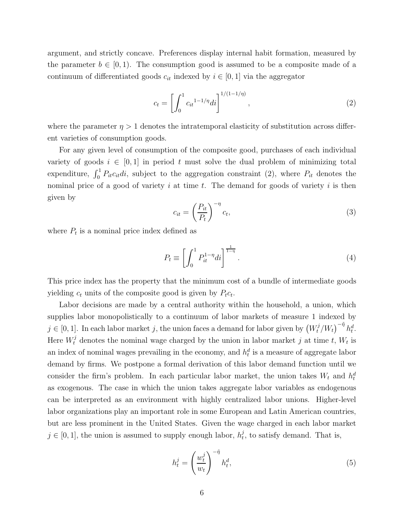argument, and strictly concave. Preferences display internal habit formation, measured by the parameter  $b \in [0, 1)$ . The consumption good is assumed to be a composite made of a continuum of differentiated goods  $c_{it}$  indexed by  $i \in [0, 1]$  via the aggregator

$$
c_t = \left[ \int_0^1 c_{it}^{1-1/\eta} di \right]^{1/(1-1/\eta)}, \qquad (2)
$$

where the parameter  $\eta > 1$  denotes the intratemporal elasticity of substitution across different varieties of consumption goods.

For any given level of consumption of the composite good, purchases of each individual variety of goods  $i \in [0,1]$  in period t must solve the dual problem of minimizing total expenditure,  $\int_0^1 P_{it}c_{it}di$ , subject to the aggregation constraint (2), where  $P_{it}$  denotes the nominal price of a good of variety  $i$  at time  $t$ . The demand for goods of variety  $i$  is then given by

$$
c_{it} = \left(\frac{P_{it}}{P_t}\right)^{-\eta} c_t,\tag{3}
$$

where  $P_t$  is a nominal price index defined as

$$
P_t \equiv \left[ \int_0^1 P_{it}^{1-\eta} di \right]^{\frac{1}{1-\eta}}.
$$
\n
$$
(4)
$$

This price index has the property that the minimum cost of a bundle of intermediate goods yielding  $c_t$  units of the composite good is given by  $P_t c_t$ .

Labor decisions are made by a central authority within the household, a union, which supplies labor monopolistically to a continuum of labor markets of measure 1 indexed by  $j \in [0, 1]$ . In each labor market j, the union faces a demand for labor given by  $(W_t^j/W_t)^{-\tilde{\eta}} h_t^d$ . Here  $W_t^j$  denotes the nominal wage charged by the union in labor market j at time t,  $W_t$  is an index of nominal wages prevailing in the economy, and  $h_t^d$  is a measure of aggregate labor demand by firms. We postpone a formal derivation of this labor demand function until we consider the firm's problem. In each particular labor market, the union takes  $W_t$  and  $h_t^d$ as exogenous. The case in which the union takes aggregate labor variables as endogenous can be interpreted as an environment with highly centralized labor unions. Higher-level labor organizations play an important role in some European and Latin American countries, but are less prominent in the United States. Given the wage charged in each labor market  $j \in [0,1]$ , the union is assumed to supply enough labor,  $h_t^j$ , to satisfy demand. That is,

$$
h_t^j = \left(\frac{w_t^j}{w_t}\right)^{-\tilde{\eta}} h_t^d,\tag{5}
$$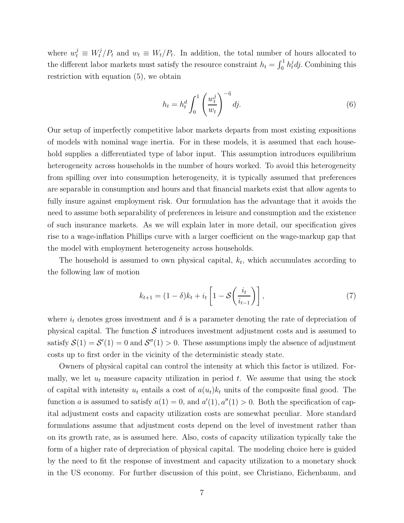where  $w_t^j \equiv W_t^j/P_t$  and  $w_t \equiv W_t/P_t$ . In addition, the total number of hours allocated to the different labor markets must satisfy the resource constraint  $h_t = \int_0^1 h_t^j dj$ . Combining this restriction with equation (5), we obtain

$$
h_t = h_t^d \int_0^1 \left(\frac{w_t^j}{w_t}\right)^{-\tilde{\eta}} dj.
$$
\n
$$
(6)
$$

Our setup of imperfectly competitive labor markets departs from most existing expositions of models with nominal wage inertia. For in these models, it is assumed that each household supplies a differentiated type of labor input. This assumption introduces equilibrium heterogeneity across households in the number of hours worked. To avoid this heterogeneity from spilling over into consumption heterogeneity, it is typically assumed that preferences are separable in consumption and hours and that financial markets exist that allow agents to fully insure against employment risk. Our formulation has the advantage that it avoids the need to assume both separability of preferences in leisure and consumption and the existence of such insurance markets. As we will explain later in more detail, our specification gives rise to a wage-inflation Phillips curve with a larger coefficient on the wage-markup gap that the model with employment heterogeneity across households.

The household is assumed to own physical capital,  $k_t$ , which accumulates according to the following law of motion

$$
k_{t+1} = (1 - \delta)k_t + i_t \left[1 - \mathcal{S}\left(\frac{i_t}{i_{t-1}}\right)\right],\tag{7}
$$

where  $i_t$  denotes gross investment and  $\delta$  is a parameter denoting the rate of depreciation of physical capital. The function  $\mathcal S$  introduces investment adjustment costs and is assumed to satisfy  $S(1) = S'(1) = 0$  and  $S''(1) > 0$ . These assumptions imply the absence of adjustment costs up to first order in the vicinity of the deterministic steady state.

Owners of physical capital can control the intensity at which this factor is utilized. Formally, we let  $u_t$  measure capacity utilization in period  $t$ . We assume that using the stock of capital with intensity  $u_t$  entails a cost of  $a(u_t)k_t$  units of the composite final good. The function a is assumed to satisfy  $a(1) = 0$ , and  $a'(1)$ ,  $a''(1) > 0$ . Both the specification of capital adjustment costs and capacity utilization costs are somewhat peculiar. More standard formulations assume that adjustment costs depend on the level of investment rather than on its growth rate, as is assumed here. Also, costs of capacity utilization typically take the form of a higher rate of depreciation of physical capital. The modeling choice here is guided by the need to fit the response of investment and capacity utilization to a monetary shock in the US economy. For further discussion of this point, see Christiano, Eichenbaum, and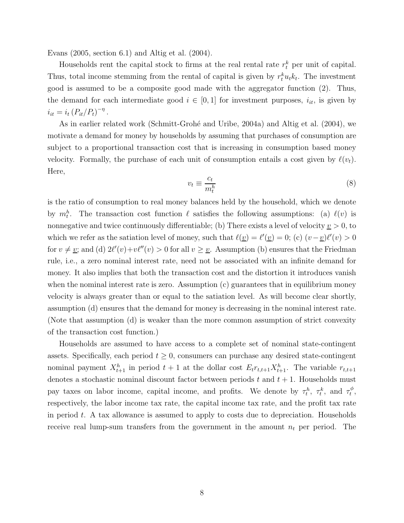Evans (2005, section 6.1) and Altig et al. (2004).

Households rent the capital stock to firms at the real rental rate  $r_t^k$  per unit of capital. Thus, total income stemming from the rental of capital is given by  $r_t^k u_t k_t$ . The investment good is assumed to be a composite good made with the aggregator function (2). Thus, the demand for each intermediate good  $i \in [0,1]$  for investment purposes,  $i_{it}$ , is given by  $i_{it} = i_t (P_{it}/P_t)^{-\eta}$ .

As in earlier related work (Schmitt-Grohé and Uribe, 2004a) and Altig et al. (2004), we motivate a demand for money by households by assuming that purchases of consumption are subject to a proportional transaction cost that is increasing in consumption based money velocity. Formally, the purchase of each unit of consumption entails a cost given by  $\ell(v_t)$ . Here,

$$
v_t \equiv \frac{c_t}{m_t^h} \tag{8}
$$

is the ratio of consumption to real money balances held by the household, which we denote by  $m_t^h$ . The transaction cost function  $\ell$  satisfies the following assumptions: (a)  $\ell(v)$  is nonnegative and twice continuously differentiable; (b) There exists a level of velocity  $v > 0$ , to which we refer as the satiation level of money, such that  $\ell(\underline{v}) = \ell'(\underline{v}) = 0$ ; (c)  $(v - \underline{v})\ell'(v) > 0$ for  $v \neq v$ ; and (d)  $2\ell'(v)+v\ell''(v) > 0$  for all  $v \geq v$ . Assumption (b) ensures that the Friedman rule, i.e., a zero nominal interest rate, need not be associated with an infinite demand for money. It also implies that both the transaction cost and the distortion it introduces vanish when the nominal interest rate is zero. Assumption  $(c)$  guarantees that in equilibrium money velocity is always greater than or equal to the satiation level. As will become clear shortly, assumption (d) ensures that the demand for money is decreasing in the nominal interest rate. (Note that assumption (d) is weaker than the more common assumption of strict convexity of the transaction cost function.)

Households are assumed to have access to a complete set of nominal state-contingent assets. Specifically, each period  $t \geq 0$ , consumers can purchase any desired state-contingent nominal payment  $X_{t+1}^h$  in period  $t+1$  at the dollar cost  $E_t r_{t,t+1} X_{t+1}^h$ . The variable  $r_{t,t+1}$ denotes a stochastic nominal discount factor between periods t and  $t + 1$ . Households must pay taxes on labor income, capital income, and profits. We denote by  $\tau_t^h$ ,  $\tau_t^k$ , and  $\tau_t^{\phi}$ , respectively, the labor income tax rate, the capital income tax rate, and the profit tax rate in period  $t$ . A tax allowance is assumed to apply to costs due to depreciation. Households receive real lump-sum transfers from the government in the amount  $n_t$  per period. The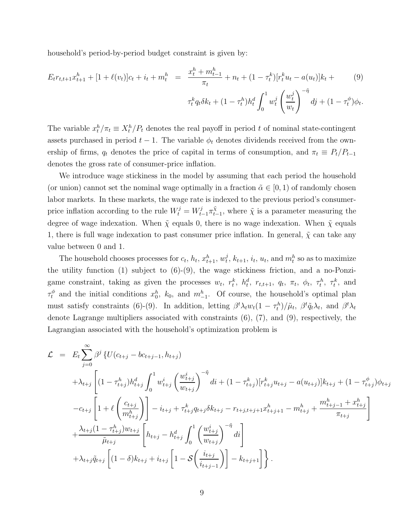household's period-by-period budget constraint is given by:

$$
E_t r_{t,t+1} x_{t+1}^h + [1 + \ell(v_t)] c_t + i_t + m_t^h = \frac{x_t^h + m_{t-1}^h}{\pi_t} + n_t + (1 - \tau_t^k) [r_t^k u_t - a(u_t)] k_t + \tag{9}
$$

$$
\tau_t^k q_t \delta k_t + (1 - \tau_t^h) h_t^d \int_0^1 w_t^j \left(\frac{w_t^j}{w_t}\right)^{-\tilde{\eta}} dj + (1 - \tau_t^{\phi}) \phi_t.
$$

The variable  $x_t^h / \pi_t \equiv X_t^h / P_t$  denotes the real payoff in period t of nominal state-contingent assets purchased in period  $t - 1$ . The variable  $\phi_t$  denotes dividends received from the ownership of firms,  $q_t$  denotes the price of capital in terms of consumption, and  $\pi_t \equiv P_t/P_{t-1}$ denotes the gross rate of consumer-price inflation.

We introduce wage stickiness in the model by assuming that each period the household (or union) cannot set the nominal wage optimally in a fraction  $\tilde{\alpha} \in (0,1)$  of randomly chosen labor markets. In these markets, the wage rate is indexed to the previous period's consumerprice inflation according to the rule  $W_t^j = W_{t-1}^j \pi_{t-1}^{\tilde{\chi}}$ , where  $\tilde{\chi}$  is a parameter measuring the degree of wage indexation. When  $\tilde{\chi}$  equals 0, there is no wage indexation. When  $\tilde{\chi}$  equals 1, there is full wage indexation to past consumer price inflation. In general,  $\tilde{\chi}$  can take any value between 0 and 1.

The household chooses processes for  $c_t$ ,  $h_t$ ,  $x_{t+1}^h$ ,  $w_t^j$ ,  $k_{t+1}$ ,  $i_t$ ,  $u_t$ , and  $m_t^h$  so as to maximize the utility function  $(1)$  subject to  $(6)-(9)$ , the wage stickiness friction, and a no-Ponzigame constraint, taking as given the processes  $w_t$ ,  $r_t^k$ ,  $h_t^d$ ,  $r_{t,t+1}$ ,  $q_t$ ,  $\pi_t$ ,  $\phi_t$ ,  $\tau_t^h$ ,  $\tau_t^k$ , and  $\tau_t^{\phi}$  and the initial conditions  $x_0^h$ ,  $k_0$ , and  $m_{-1}^h$ . Of course, the household's optimal plan must satisfy constraints (6)-(9). In addition, letting  $\beta^t \lambda_t w_t (1 - \tau_t^h) / \tilde{\mu}_t$ ,  $\beta^t \tilde{q}_t \lambda_t$ , and  $\beta^t \lambda_t$ denote Lagrange multipliers associated with constraints (6), (7), and (9), respectively, the Lagrangian associated with the household's optimization problem is

$$
\mathcal{L} = E_{t} \sum_{j=0}^{\infty} \beta^{j} \left\{ U(c_{t+j} - bc_{t+j-1}, h_{t+j}) \right.\n+ \lambda_{t+j} \left[ (1 - \tau_{t+j}^{h}) h_{t+j}^{d} \int_{0}^{1} w_{t+j}^{i} \left( \frac{w_{t+j}^{i}}{w_{t+j}} \right)^{-\tilde{\eta}} di + (1 - \tau_{t+j}^{k}) [r_{t+j}^{k} u_{t+j} - a(u_{t+j})] k_{t+j} + (1 - \tau_{t+j}^{\phi}) \phi_{t+j} \right.\n- c_{t+j} \left[ 1 + \ell \left( \frac{c_{t+j}}{m_{t+j}^{h}} \right) \right] - i_{t+j} + \tau_{t+j}^{k} q_{t+j} \delta k_{t+j} - r_{t+j,t+j+1} x_{t+j+1}^{h} - m_{t+j}^{h} + \frac{m_{t+j-1}^{h} + x_{t+j}^{h}}{\pi_{t+j}} \right]\n+ \frac{\lambda_{t+j} (1 - \tau_{t+j}^{h}) w_{t+j}}{\tilde{\mu}_{t+j}} \left[ h_{t+j} - h_{t+j}^{d} \int_{0}^{1} \left( \frac{w_{t+j}^{i}}{w_{t+j}} \right)^{-\tilde{\eta}} di \right]\n+ \lambda_{t+j} \tilde{q}_{t+j} \left[ (1 - \delta) k_{t+j} + i_{t+j} \left[ 1 - \mathcal{S} \left( \frac{i_{t+j}}{i_{t+j-1}} \right) \right] - k_{t+j+1} \right] \right\}.
$$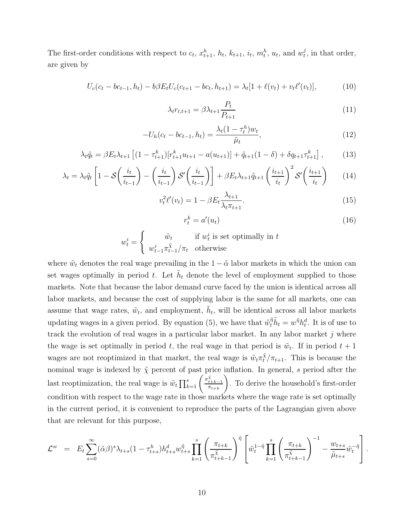The first-order conditions with respect to  $c_t$ ,  $x_{t+1}^h$ ,  $h_t$ ,  $k_{t+1}$ ,  $i_t$ ,  $m_t^h$ ,  $u_t$ , and  $w_t^j$ , in that order, are given by

$$
U_c(c_t - bc_{t-1}, h_t) - b\beta E_t U_c(c_{t+1} - bc_t, h_{t+1}) = \lambda_t [1 + \ell(v_t) + v_t \ell'(v_t)],
$$
\n(10)

$$
\lambda_t r_{t,t+1} = \beta \lambda_{t+1} \frac{P_t}{P_{t+1}} \tag{11}
$$

$$
-U_h(c_t - bc_{t-1}, h_t) = \frac{\lambda_t (1 - \tau_t^h) w_t}{\tilde{\mu}_t},
$$
\n(12)

$$
\lambda_t \tilde{q}_t = \beta E_t \lambda_{t+1} \left[ (1 - \tau_{t+1}^k) [r_{t+1}^k u_{t+1} - a(u_{t+1})] + \tilde{q}_{t+1} (1 - \delta) + \delta q_{t+1} \tau_{t+1}^k \right],\tag{13}
$$

$$
\lambda_t = \lambda_t \tilde{q}_t \left[ 1 - \mathcal{S} \left( \frac{i_t}{i_{t-1}} \right) - \left( \frac{i_t}{i_{t-1}} \right) \mathcal{S}' \left( \frac{i_t}{i_{t-1}} \right) \right] + \beta E_t \lambda_{t+1} \tilde{q}_{t+1} \left( \frac{i_{t+1}}{i_t} \right)^2 \mathcal{S}' \left( \frac{i_{t+1}}{i_t} \right) \tag{14}
$$

$$
v_t^2 \ell'(v_t) = 1 - \beta E_t \frac{\lambda_{t+1}}{\lambda_t \pi_{t+1}}.
$$
\n(15)

$$
r_t^k = a'(u_t) \tag{16}
$$

 $w_t^i =$  $\int \tilde{w}_t$  if  $w_t^i$  is set optimally in t  $w_{t-1}^i \pi_{t-1}^{\tilde{\chi}} / \pi_t$  otherwise

where  $\tilde{w}_t$  denotes the real wage prevailing in the  $1 - \tilde{\alpha}$  labor markets in which the union can set wages optimally in period t. Let  $\tilde{h}_t$  denote the level of employment supplied to those markets. Note that because the labor demand curve faced by the union is identical across all labor markets, and because the cost of supplying labor is the same for all markets, one can assume that wage rates,  $\tilde{w}_t$ , and employment,  $\tilde{h}_t$ , will be identical across all labor markets updating wages in a given period. By equation (5), we have that  $\tilde{w}_t^{\tilde{\eta}}\tilde{h}_t = w^{\tilde{\eta}}h_t^d$ . It is of use to track the evolution of real wages in a particular labor market. In any labor market j where the wage is set optimally in period t, the real wage in that period is  $\tilde{w}_t$ . If in period  $t + 1$ wages are not reoptimized in that market, the real wage is  $\tilde{w}_t \pi_t^{\tilde{\chi}} / \pi_{t+1}$ . This is because the nominal wage is indexed by  $\tilde{\chi}$  percent of past price inflation. In general, s period after the last reoptimization, the real wage is  $\tilde{w}_t \prod_{k=1}^s \left( \frac{\pi_t^{\tilde{x}_t}}{\pi} \right)$  $\frac{t+k-1}{\pi_{t+k}}$  $\tilde{\setminus}$ . To derive the household's first-order condition with respect to the wage rate in those markets where the wage rate is set optimally in the current period, it is convenient to reproduce the parts of the Lagrangian given above that are relevant for this purpose,

$$
\mathcal{L}^{w} = E_{t} \sum_{s=0}^{\infty} (\tilde{\alpha}\beta)^{s} \lambda_{t+s} (1 - \tau_{t+s}^{h}) h_{t+s}^{d} w_{t+s}^{\tilde{\eta}} \prod_{k=1}^{s} \left( \frac{\pi_{t+k}}{\pi_{t+k-1}^{\tilde{\chi}}} \right)^{\tilde{\eta}} \left[ \tilde{w}_{t}^{1-\tilde{\eta}} \prod_{k=1}^{s} \left( \frac{\pi_{t+k}}{\pi_{t+k-1}^{\tilde{\chi}}} \right)^{-1} - \frac{w_{t+s}}{\tilde{\mu}_{t+s}} \tilde{w}_{t}^{-\tilde{\eta}} \right].
$$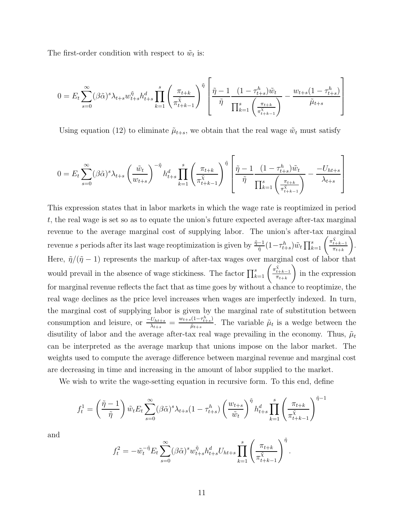The first-order condition with respect to  $\tilde{w}_t$  is:

$$
0=E_t\sum_{s=0}^\infty(\beta\tilde{\alpha})^s\lambda_{t+s}w_{t+s}^{\tilde{\eta}}h_{t+s}^d\prod_{k=1}^s\left(\frac{\pi_{t+k}}{\pi_{t+k-1}^{\tilde{\chi}}}\right)^{\tilde{\eta}}\left[\frac{\tilde{\eta}-1}{\tilde{\eta}}\frac{(1-\tau_{t+s}^h)\tilde{w}_t}{\prod_{k=1}^s\left(\frac{\pi_{t+k}}{\pi_{t+k-1}^{\tilde{\chi}}}\right)}-\frac{w_{t+s}(1-\tau_{t+s}^h)}{\tilde{\mu}_{t+s}}\right]
$$

Using equation (12) to eliminate  $\tilde{\mu}_{t+s}$ , we obtain that the real wage  $\tilde{w}_t$  must satisfy

$$
0 = E_t \sum_{s=0}^{\infty} (\beta \tilde{\alpha})^s \lambda_{t+s} \left(\frac{\tilde{w}_t}{w_{t+s}}\right)^{-\tilde{\eta}} h_{t+s}^d \prod_{k=1}^s \left(\frac{\pi_{t+k}}{\pi_{t+k-1}^{\tilde{\chi}}} \right)^{\tilde{\eta}} \left[\frac{\tilde{\eta} - 1}{\tilde{\eta}} \frac{\left(1 - \tau_{t+s}^h\right) \tilde{w}_t}{\prod_{k=1}^s \left(\frac{\pi_{t+k}}{\pi_{t+k-1}^{\tilde{\chi}}} \right)} - \frac{-U_{ht+s}}{\lambda_{t+s}}\right]
$$

This expression states that in labor markets in which the wage rate is reoptimized in period t, the real wage is set so as to equate the union's future expected average after-tax marginal revenue to the average marginal cost of supplying labor. The union's after-tax marginal revenue s periods after its last wage reoptimization is given by  $\frac{\tilde{\eta}-1}{\tilde{\eta}}(1-\tau_{t+s}^h)\tilde{w}_t \prod_{k=1}^s \left(\frac{\pi_t^{\tilde{\chi}_t}}{\pi}\right)$  $\frac{t+k-1}{\pi_{t+k}}$  $\tilde{\setminus}$ . Here,  $\tilde{\eta}/(\tilde{\eta} - 1)$  represents the markup of after-tax wages over marginal cost of labor that would prevail in the absence of wage stickiness. The factor  $\prod_{k=1}^{s} \left( \frac{\pi_k^x}{\pi} \right)$  $\frac{t+k-1}{\pi_{t+k}}$  $\tilde{\phantom{a}}$ in the expression for marginal revenue reflects the fact that as time goes by without a chance to reoptimize, the real wage declines as the price level increases when wages are imperfectly indexed. In turn, the marginal cost of supplying labor is given by the marginal rate of substitution between consumption and leisure, or  $\frac{-U_{ht+s}}{\lambda_{t+s}} = \frac{w_{t+s}(1-\tau_{t+s}^h)}{\tilde{\mu}_{t+s}}$ . The variable  $\tilde{\mu}_t$  is a wedge between the disutility of labor and the average after-tax real wage prevailing in the economy. Thus,  $\tilde{\mu}_t$ can be interpreted as the average markup that unions impose on the labor market. The weights used to compute the average difference between marginal revenue and marginal cost are decreasing in time and increasing in the amount of labor supplied to the market.

We wish to write the wage-setting equation in recursive form. To this end, define

$$
f_t^1 = \left(\frac{\tilde{\eta} - 1}{\tilde{\eta}}\right) \tilde{w}_t E_t \sum_{s=0}^{\infty} (\beta \tilde{\alpha})^s \lambda_{t+s} (1 - \tau_{t+s}^h) \left(\frac{w_{t+s}}{\tilde{w}_t}\right)^{\tilde{\eta}} h_{t+s}^d \prod_{k=1}^s \left(\frac{\pi_{t+k}}{\pi_{t+k-1}^{\tilde{\chi}}} \right)^{\tilde{\eta}-1}
$$

and

$$
f_t^2 = -\tilde{w}_t^{-\tilde{\eta}} E_t \sum_{s=0}^{\infty} (\beta \tilde{\alpha})^s w_{t+s}^{\tilde{\eta}} h_{t+s}^d U_{ht+s} \prod_{k=1}^s \left(\frac{\pi_{t+k}}{\pi_{t+k-1}^{\tilde{\chi}}} \right)^{\tilde{\eta}}.
$$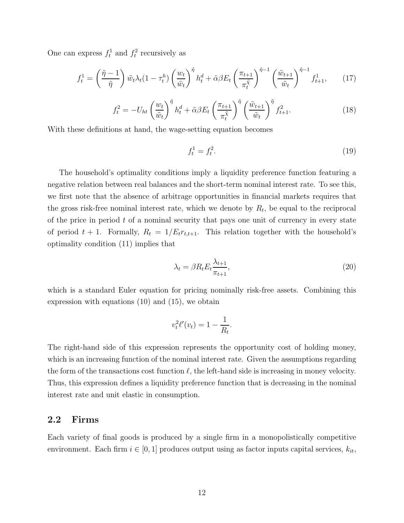One can express  $f_t^1$  and  $f_t^2$  recursively as

$$
f_t^1 = \left(\frac{\tilde{\eta} - 1}{\tilde{\eta}}\right) \tilde{w}_t \lambda_t (1 - \tau_t^h) \left(\frac{w_t}{\tilde{w}_t}\right)^{\tilde{\eta}} h_t^d + \tilde{\alpha} \beta E_t \left(\frac{\pi_{t+1}}{\pi_t^{\tilde{\chi}}}\right)^{\tilde{\eta}-1} \left(\frac{\tilde{w}_{t+1}}{\tilde{w}_t}\right)^{\tilde{\eta}-1} f_{t+1}^1, \qquad (17)
$$

$$
f_t^2 = -U_{ht} \left(\frac{w_t}{\tilde{w}_t}\right)^{\tilde{\eta}} h_t^d + \tilde{\alpha}\beta E_t \left(\frac{\pi_{t+1}}{\pi_t^{\tilde{\chi}}}\right)^{\tilde{\eta}} \left(\frac{\tilde{w}_{t+1}}{\tilde{w}_t}\right)^{\tilde{\eta}} f_{t+1}^2.
$$
 (18)

With these definitions at hand, the wage-setting equation becomes

$$
f_t^1 = f_t^2. \tag{19}
$$

The household's optimality conditions imply a liquidity preference function featuring a negative relation between real balances and the short-term nominal interest rate. To see this, we first note that the absence of arbitrage opportunities in financial markets requires that the gross risk-free nominal interest rate, which we denote by  $R_t$ , be equal to the reciprocal of the price in period  $t$  of a nominal security that pays one unit of currency in every state of period  $t + 1$ . Formally,  $R_t = 1/E_t r_{t,t+1}$ . This relation together with the household's optimality condition (11) implies that

$$
\lambda_t = \beta R_t E_t \frac{\lambda_{t+1}}{\pi_{t+1}},\tag{20}
$$

which is a standard Euler equation for pricing nominally risk-free assets. Combining this expression with equations (10) and (15), we obtain

$$
v_t^2 \ell'(v_t) = 1 - \frac{1}{R_t}.
$$

The right-hand side of this expression represents the opportunity cost of holding money, which is an increasing function of the nominal interest rate. Given the assumptions regarding the form of the transactions cost function  $\ell$ , the left-hand side is increasing in money velocity. Thus, this expression defines a liquidity preference function that is decreasing in the nominal interest rate and unit elastic in consumption.

#### **2.2 Firms**

Each variety of final goods is produced by a single firm in a monopolistically competitive environment. Each firm  $i \in [0,1]$  produces output using as factor inputs capital services,  $k_{it}$ ,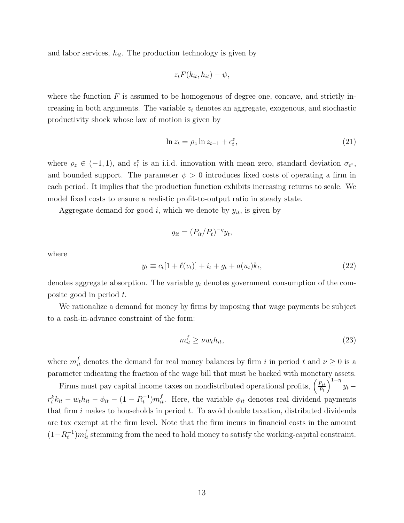and labor services,  $h_{it}$ . The production technology is given by

$$
z_t F(k_{it}, h_{it}) - \psi,
$$

where the function  $F$  is assumed to be homogenous of degree one, concave, and strictly increasing in both arguments. The variable  $z_t$  denotes an aggregate, exogenous, and stochastic productivity shock whose law of motion is given by

$$
\ln z_t = \rho_z \ln z_{t-1} + \epsilon_t^z,\tag{21}
$$

where  $\rho_z \in (-1,1)$ , and  $\epsilon_t^z$  is an i.i.d. innovation with mean zero, standard deviation  $\sigma_{\epsilon^z}$ , and bounded support. The parameter  $\psi > 0$  introduces fixed costs of operating a firm in each period. It implies that the production function exhibits increasing returns to scale. We model fixed costs to ensure a realistic profit-to-output ratio in steady state.

Aggregate demand for good i, which we denote by  $y_{it}$ , is given by

$$
y_{it} = (P_{it}/P_t)^{-\eta} y_t,
$$

where

$$
y_t \equiv c_t[1 + \ell(v_t)] + i_t + g_t + a(u_t)k_t,
$$
\n(22)

denotes aggregate absorption. The variable  $g_t$  denotes government consumption of the composite good in period t.

We rationalize a demand for money by firms by imposing that wage payments be subject to a cash-in-advance constraint of the form:

$$
m_{it}^f \ge \nu w_t h_{it},\tag{23}
$$

where  $m_{it}^f$  denotes the demand for real money balances by firm i in period t and  $\nu \geq 0$  is a parameter indicating the fraction of the wage bill that must be backed with monetary assets.

Firms must pay capital income taxes on nondistributed operational profits,  $\left(\frac{P_{it}}{P_t}\right)$  $\int_0^{1-\eta} y_t$  –  $r_t^k k_{it} - w_t h_{it} - \phi_{it} - (1 - R_t^{-1}) m_{it}^f$ . Here, the variable  $\phi_{it}$  denotes real dividend payments that firm  $i$  makes to households in period  $t$ . To avoid double taxation, distributed dividends are tax exempt at the firm level. Note that the firm incurs in financial costs in the amount  $(1 - R_t^{-1})m_{it}^f$  stemming from the need to hold money to satisfy the working-capital constraint.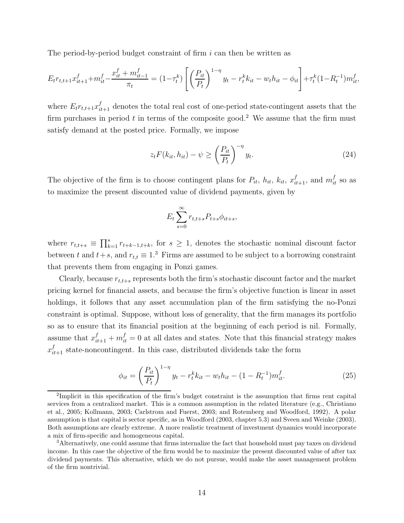The period-by-period budget constraint of firm  $i$  can then be written as

$$
E_t r_{t,t+1} x_{it+1}^f + m_{it}^f - \frac{x_{it}^f + m_{it-1}^f}{\pi_t} = (1 - \tau_t^k) \left[ \left( \frac{P_{it}}{P_t} \right)^{1 - \eta} y_t - r_t^k k_{it} - w_t h_{it} - \phi_{it} \right] + \tau_t^k (1 - R_t^{-1}) m_{it}^f,
$$

where  $E_t r_{t,t+1} x_{it+1}^f$  denotes the total real cost of one-period state-contingent assets that the firm purchases in period  $t$  in terms of the composite good.<sup>2</sup> We assume that the firm must satisfy demand at the posted price. Formally, we impose

$$
z_t F(k_{it}, h_{it}) - \psi \ge \left(\frac{P_{it}}{P_t}\right)^{-\eta} y_t.
$$
\n(24)

The objective of the firm is to choose contingent plans for  $P_{it}$ ,  $h_{it}$ ,  $k_{it}$ ,  $x_{it+1}^f$ , and  $m_{it}^f$  so as to maximize the present discounted value of dividend payments, given by

$$
E_t \sum_{s=0}^{\infty} r_{t,t+s} P_{t+s} \phi_{it+s},
$$

where  $r_{t,t+s} \equiv \prod_{k=1}^{s} r_{t+k-1,t+k}$ , for  $s \geq 1$ , denotes the stochastic nominal discount factor between t and  $t+s$ , and  $r_{t,t} \equiv 1$ .<sup>3</sup> Firms are assumed to be subject to a borrowing constraint that prevents them from engaging in Ponzi games.

Clearly, because  $r_{t,t+s}$  represents both the firm's stochastic discount factor and the market pricing kernel for financial assets, and because the firm's objective function is linear in asset holdings, it follows that any asset accumulation plan of the firm satisfying the no-Ponzi constraint is optimal. Suppose, without loss of generality, that the firm manages its portfolio so as to ensure that its financial position at the beginning of each period is nil. Formally, assume that  $x_{it+1}^f + m_{it}^f = 0$  at all dates and states. Note that this financial strategy makes  $x_{it+1}^f$  state-noncontingent. In this case, distributed dividends take the form

$$
\phi_{it} = \left(\frac{P_{it}}{P_t}\right)^{1-\eta} y_t - r_t^k k_{it} - w_t h_{it} - (1 - R_t^{-1}) m_{it}^f. \tag{25}
$$

<sup>2</sup>Implicit in this specification of the firm's budget constraint is the assumption that firms rent capital services from a centralized market. This is a common assumption in the related literature (e.g., Christiano et al., 2005; Kollmann, 2003; Carlstrom and Fuerst, 2003; and Rotemberg and Woodford, 1992). A polar assumption is that capital is sector specific, as in Woodford (2003, chapter 5.3) and Sveen and Weinke (2003). Both assumptions are clearly extreme. A more realistic treatment of investment dynamics would incorporate a mix of firm-specific and homogeneous capital.

<sup>3</sup>Alternatively, one could assume that firms internalize the fact that household must pay taxes on dividend income. In this case the objective of the firm would be to maximize the present discounted value of after tax dividend payments. This alternative, which we do not pursue, would make the asset management problem of the firm nontrivial.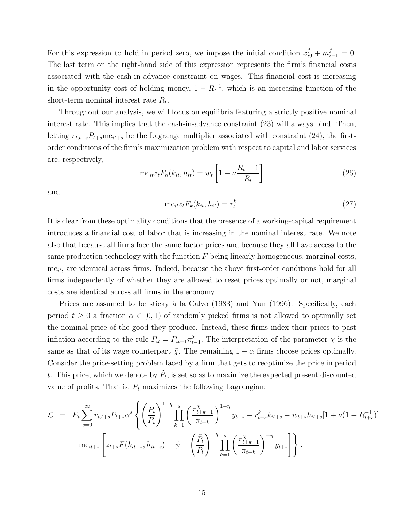For this expression to hold in period zero, we impose the initial condition  $x_{i0}^f + m_{i-1}^f = 0$ . The last term on the right-hand side of this expression represents the firm's financial costs associated with the cash-in-advance constraint on wages. This financial cost is increasing in the opportunity cost of holding money,  $1 - R_t^{-1}$ , which is an increasing function of the short-term nominal interest rate  $R_t$ .

Throughout our analysis, we will focus on equilibria featuring a strictly positive nominal interest rate. This implies that the cash-in-advance constraint (23) will always bind. Then, letting  $r_{t,t+s}P_{t+s}$  mc<sub>it+s</sub> be the Lagrange multiplier associated with constraint (24), the firstorder conditions of the firm's maximization problem with respect to capital and labor services are, respectively,

$$
\mathrm{mc}_{it}z_t F_h(k_{it}, h_{it}) = w_t \left[ 1 + \nu \frac{R_t - 1}{R_t} \right]
$$
\n(26)

and

$$
\mathrm{mc}_{it}z_t F_k(k_{it}, h_{it}) = r_t^k. \tag{27}
$$

It is clear from these optimality conditions that the presence of a working-capital requirement introduces a financial cost of labor that is increasing in the nominal interest rate. We note also that because all firms face the same factor prices and because they all have access to the same production technology with the function  $F$  being linearly homogeneous, marginal costs,  $mc_{it}$ , are identical across firms. Indeed, because the above first-order conditions hold for all firms independently of whether they are allowed to reset prices optimally or not, marginal costs are identical across all firms in the economy.

Prices are assumed to be sticky à la Calvo (1983) and Yun (1996). Specifically, each period  $t \geq 0$  a fraction  $\alpha \in [0, 1)$  of randomly picked firms is not allowed to optimally set the nominal price of the good they produce. Instead, these firms index their prices to past inflation according to the rule  $P_{it} = P_{it-1} \pi_{t-1}^{\chi}$ . The interpretation of the parameter  $\chi$  is the same as that of its wage counterpart  $\tilde{\chi}$ . The remaining  $1 - \alpha$  firms choose prices optimally. Consider the price-setting problem faced by a firm that gets to reoptimize the price in period t. This price, which we denote by  $P_t$ , is set so as to maximize the expected present discounted value of profits. That is,  $\tilde{P}_t$  maximizes the following Lagrangian:

$$
\mathcal{L} = E_t \sum_{s=0}^{\infty} r_{t,t+s} P_{t+s} \alpha^s \left\{ \left( \frac{\tilde{P}_t}{P_t} \right)^{1-\eta} \prod_{k=1}^s \left( \frac{\pi_{t+k-1}^{\chi}}{\pi_{t+k}} \right)^{1-\eta} y_{t+s} - r_{t+s}^k k_{it+s} - w_{t+s} h_{it+s} [1 + \nu (1 - R_{t+s}^{-1})] + \text{mc}_{it+s} \left[ z_{t+s} F(k_{it+s}, h_{it+s}) - \psi - \left( \frac{\tilde{P}_t}{P_t} \right)^{-\eta} \prod_{k=1}^s \left( \frac{\pi_{t+k-1}^{\chi}}{\pi_{t+k}} \right)^{-\eta} y_{t+s} \right] \right\}.
$$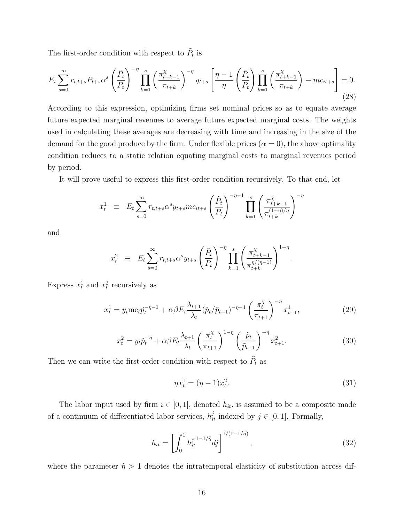The first-order condition with respect to  $\tilde{P}_t$  is

$$
E_t \sum_{s=0}^{\infty} r_{t,t+s} P_{t+s} \alpha^s \left(\frac{\tilde{P}_t}{P_t}\right)^{-\eta} \prod_{k=1}^s \left(\frac{\pi_{t+k-1}^\chi}{\pi_{t+k}}\right)^{-\eta} y_{t+s} \left[\frac{\eta-1}{\eta} \left(\frac{\tilde{P}_t}{P_t}\right) \prod_{k=1}^s \left(\frac{\pi_{t+k-1}^\chi}{\pi_{t+k}}\right) - mc_{it+s}\right] = 0.
$$
\n(28)

According to this expression, optimizing firms set nominal prices so as to equate average future expected marginal revenues to average future expected marginal costs. The weights used in calculating these averages are decreasing with time and increasing in the size of the demand for the good produce by the firm. Under flexible prices  $(\alpha = 0)$ , the above optimality condition reduces to a static relation equating marginal costs to marginal revenues period by period.

It will prove useful to express this first-order condition recursively. To that end, let

$$
x_t^1 \equiv E_t \sum_{s=0}^{\infty} r_{t,t+s} \alpha^s y_{t+s} m c_{it+s} \left(\frac{\tilde{P}_t}{P_t}\right)^{-\eta-1} \prod_{k=1}^s \left(\frac{\pi_{t+k-1}^{\chi}}{\pi_{t+k}^{(1+\eta)/\eta}}\right)^{-\eta}
$$

and

$$
x_t^2 \equiv E_t \sum_{s=0}^{\infty} r_{t,t+s} \alpha^s y_{t+s} \left(\frac{\tilde{P}_t}{P_t}\right)^{-\eta} \prod_{k=1}^s \left(\frac{\pi_{t+k-1}^{\chi}}{\pi_{t+k}^{\eta/(\eta-1)}}\right)^{1-\eta}.
$$

Express  $x_t^1$  and  $x_t^2$  recursively as

$$
x_t^1 = y_t \text{mc}_t \tilde{p}_t^{-\eta - 1} + \alpha \beta E_t \frac{\lambda_{t+1}}{\lambda_t} (\tilde{p}_t / \tilde{p}_{t+1})^{-\eta - 1} \left(\frac{\pi_t^{\chi}}{\pi_{t+1}}\right)^{-\eta} x_{t+1}^1, \tag{29}
$$

$$
x_t^2 = y_t \tilde{p}_t^{-\eta} + \alpha \beta E_t \frac{\lambda_{t+1}}{\lambda_t} \left(\frac{\pi_t^{\chi}}{\pi_{t+1}}\right)^{1-\eta} \left(\frac{\tilde{p}_t}{\tilde{p}_{t+1}}\right)^{-\eta} x_{t+1}^2.
$$
 (30)

Then we can write the first-order condition with respect to  $\tilde{P}_t$  as

$$
\eta x_t^1 = (\eta - 1)x_t^2. \tag{31}
$$

The labor input used by firm  $i \in [0, 1]$ , denoted  $h_{it}$ , is assumed to be a composite made of a continuum of differentiated labor services,  $h_{it}^{j}$  indexed by  $j \in [0, 1]$ . Formally,

$$
h_{it} = \left[ \int_0^1 h_{it}^{j} \, \frac{1 - 1}{\eta} \, dj \right]^{1/(1 - 1/\tilde{\eta})},\tag{32}
$$

where the parameter  $\tilde{\eta} > 1$  denotes the intratemporal elasticity of substitution across dif-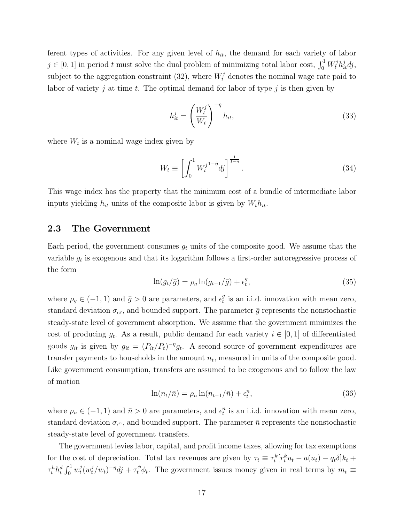ferent types of activities. For any given level of  $h_{it}$ , the demand for each variety of labor  $j \in [0, 1]$  in period t must solve the dual problem of minimizing total labor cost,  $\int_0^1 W_t^j h_{it}^j dj$ , subject to the aggregation constraint (32), where  $W_t^j$  denotes the nominal wage rate paid to labor of variety j at time t. The optimal demand for labor of type j is then given by

$$
h_{it}^j = \left(\frac{W_t^j}{W_t}\right)^{-\tilde{\eta}} h_{it},\tag{33}
$$

where  $W_t$  is a nominal wage index given by

$$
W_t \equiv \left[ \int_0^1 W_t^{j1-\tilde{\eta}} d\tilde{\eta} \right]^{\frac{1}{1-\tilde{\eta}}}.
$$
\n(34)

This wage index has the property that the minimum cost of a bundle of intermediate labor inputs yielding  $h_{it}$  units of the composite labor is given by  $W_t h_{it}$ .

### **2.3 The Government**

Each period, the government consumes  $g_t$  units of the composite good. We assume that the variable  $g_t$  is exogenous and that its logarithm follows a first-order autoregressive process of the form

$$
\ln(g_t/\bar{g}) = \rho_g \ln(g_{t-1}/\bar{g}) + \epsilon_t^g,\tag{35}
$$

where  $\rho_g \in (-1, 1)$  and  $\bar{g} > 0$  are parameters, and  $\epsilon_t^g$  is an i.i.d. innovation with mean zero, standard deviation  $\sigma_{\epsilon g}$ , and bounded support. The parameter  $\bar{g}$  represents the nonstochastic steady-state level of government absorption. We assume that the government minimizes the cost of producing  $g_t$ . As a result, public demand for each variety  $i \in [0,1]$  of differentiated goods  $g_{it}$  is given by  $g_{it} = (P_{it}/P_t)^{-\eta} g_t$ . A second source of government expenditures are transfer payments to households in the amount  $n_t$ , measured in units of the composite good. Like government consumption, transfers are assumed to be exogenous and to follow the law of motion

$$
\ln(n_t/\bar{n}) = \rho_n \ln(n_{t-1}/\bar{n}) + \epsilon_t^n,\tag{36}
$$

where  $\rho_n \in (-1, 1)$  and  $\bar{n} > 0$  are parameters, and  $\epsilon_t^n$  is an i.i.d. innovation with mean zero, standard deviation  $\sigma_{\epsilon^n}$ , and bounded support. The parameter  $\bar{n}$  represents the nonstochastic steady-state level of government transfers.

The government levies labor, capital, and profit income taxes, allowing for tax exemptions for the cost of depreciation. Total tax revenues are given by  $\tau_t \equiv \tau_t^k [r_t^k u_t - a(u_t) - q_t \delta] k_t +$  $\tau_t^h h_t^d \int_0^1 w_t^j (w_t^j/w_t)^{-\tilde{\eta}} dt + \tau_t^{\phi} \phi_t$ . The government issues money given in real terms by  $m_t \equiv$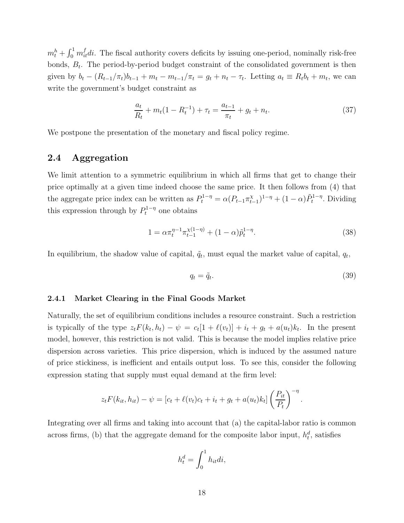$m_t^h + \int_0^1 m_{it}^f di$ . The fiscal authority covers deficits by issuing one-period, nominally risk-free bonds,  $B_t$ . The period-by-period budget constraint of the consolidated government is then given by  $b_t - (R_{t-1}/\pi_t)b_{t-1} + m_t - m_{t-1}/\pi_t = g_t + n_t - \tau_t$ . Letting  $a_t \equiv R_t b_t + m_t$ , we can write the government's budget constraint as

$$
\frac{a_t}{R_t} + m_t(1 - R_t^{-1}) + \tau_t = \frac{a_{t-1}}{\pi_t} + g_t + n_t.
$$
\n(37)

We postpone the presentation of the monetary and fiscal policy regime.

### **2.4 Aggregation**

We limit attention to a symmetric equilibrium in which all firms that get to change their price optimally at a given time indeed choose the same price. It then follows from (4) that the aggregate price index can be written as  $P_t^{1-\eta} = \alpha (P_{t-1} \pi_{t-1}^{\chi})^{1-\eta} + (1-\alpha) \tilde{P}_t^{1-\eta}$ . Dividing this expression through by  $P_t^{1-\eta}$  one obtains

$$
1 = \alpha \pi_t^{\eta - 1} \pi_{t-1}^{\chi(1-\eta)} + (1-\alpha) \tilde{p}_t^{1-\eta}.
$$
\n(38)

In equilibrium, the shadow value of capital,  $\tilde{q}_t$ , must equal the market value of capital,  $q_t$ ,

$$
q_t = \tilde{q}_t. \tag{39}
$$

#### **2.4.1 Market Clearing in the Final Goods Market**

Naturally, the set of equilibrium conditions includes a resource constraint. Such a restriction is typically of the type  $z_t F(k_t, h_t) - \psi = c_t[1 + \ell(v_t)] + i_t + g_t + a(u_t)k_t$ . In the present model, however, this restriction is not valid. This is because the model implies relative price dispersion across varieties. This price dispersion, which is induced by the assumed nature of price stickiness, is inefficient and entails output loss. To see this, consider the following expression stating that supply must equal demand at the firm level:

$$
z_t F(k_{it}, h_{it}) - \psi = [c_t + \ell(v_t)c_t + i_t + g_t + a(u_t)k_t] \left(\frac{P_{it}}{P_t}\right)^{-\eta}.
$$

Integrating over all firms and taking into account that (a) the capital-labor ratio is common across firms, (b) that the aggregate demand for the composite labor input,  $h_t^d$ , satisfies

$$
h_t^d = \int_0^1 h_{it} di,
$$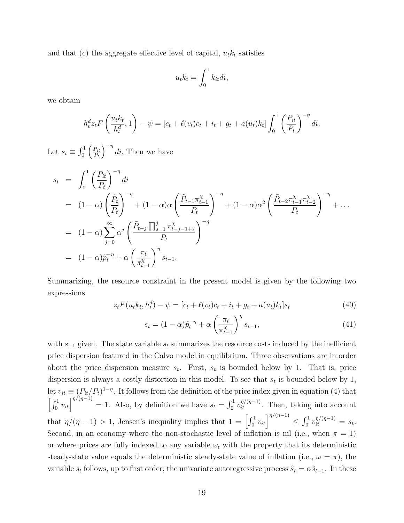and that (c) the aggregate effective level of capital,  $u_t k_t$  satisfies

$$
u_t k_t = \int_0^1 k_{it} di,
$$

we obtain

$$
h_t^d z_t F\left(\frac{u_t k_t}{h_t^d}, 1\right) - \psi = \left[c_t + \ell(v_t)c_t + i_t + g_t + a(u_t)k_t\right] \int_0^1 \left(\frac{P_{it}}{P_t}\right)^{-\eta} dt.
$$

Let  $s_t \equiv \int_0^1$  $\int P_{it}$  $P_t$  $\sqrt{-\eta}$ di. Then we have

$$
s_{t} = \int_{0}^{1} \left(\frac{P_{it}}{P_{t}}\right)^{-\eta} di
$$
  
\n
$$
= (1 - \alpha) \left(\frac{\tilde{P}_{t}}{P_{t}}\right)^{-\eta} + (1 - \alpha) \alpha \left(\frac{\tilde{P}_{t-1} \pi_{t-1}^{\chi}}{P_{t}}\right)^{-\eta} + (1 - \alpha) \alpha^{2} \left(\frac{\tilde{P}_{t-2} \pi_{t-1}^{\chi} \pi_{t-2}^{\chi}}{P_{t}}\right)^{-\eta} + \dots
$$
  
\n
$$
= (1 - \alpha) \sum_{j=0}^{\infty} \alpha^{j} \left(\frac{\tilde{P}_{t-j} \prod_{s=1}^{j} \pi_{t-j-1+s}^{\chi}}{P_{t}}\right)^{-\eta}
$$
  
\n
$$
= (1 - \alpha) \tilde{p}_{t}^{-\eta} + \alpha \left(\frac{\pi_{t}}{\pi_{t-1}^{\chi}}\right)^{\eta} s_{t-1}.
$$

Summarizing, the resource constraint in the present model is given by the following two expressions

$$
z_t F(u_t k_t, h_t^d) - \psi = [c_t + \ell(v_t)c_t + i_t + g_t + a(u_t)k_t]s_t
$$
\n(40)

$$
s_t = (1 - \alpha)\tilde{p}_t^{-\eta} + \alpha \left(\frac{\pi_t}{\pi_{t-1}^{\chi}}\right)^{\eta} s_{t-1},\tag{41}
$$

with  $s_{-1}$  given. The state variable  $s_t$  summarizes the resource costs induced by the inefficient price dispersion featured in the Calvo model in equilibrium. Three observations are in order about the price dispersion measure  $s_t$ . First,  $s_t$  is bounded below by 1. That is, price dispersion is always a costly distortion in this model. To see that  $s_t$  is bounded below by 1, let  $v_{it} \equiv (P_{it}/P_t)^{1-\eta}$ . It follows from the definition of the price index given in equation (4) that  $\left[\int_0^1 v_{it}\right]^{n/(n-1)} = 1$ . Also, by definition we have  $s_t = \int_0^1 v_{it}^{n/(n-1)}$ . Then, taking into account that  $\eta/(\eta-1) > 1$ , Jensen's inequality implies that  $1 = \left[\int_0^1 v_{it}\right]_0^{\eta/(\eta-1)} \leq \int_0^1 v_{it}^{\eta/(\eta-1)} = s_t$ . Second, in an economy where the non-stochastic level of inflation is nil (i.e., when  $\pi = 1$ ) or where prices are fully indexed to any variable  $\omega_t$  with the property that its deterministic steady-state value equals the deterministic steady-state value of inflation (i.e.,  $\omega = \pi$ ), the variable  $s_t$  follows, up to first order, the univariate autoregressive process  $\hat{s}_t = \alpha \hat{s}_{t-1}$ . In these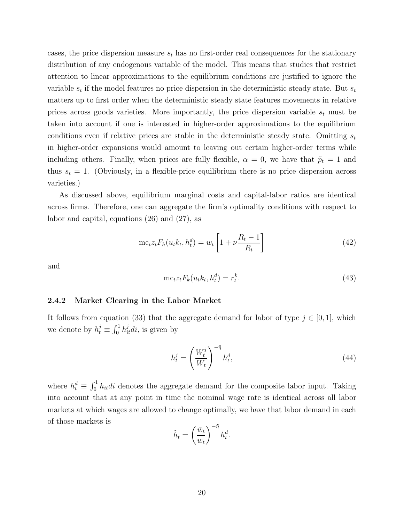cases, the price dispersion measure  $s_t$  has no first-order real consequences for the stationary distribution of any endogenous variable of the model. This means that studies that restrict attention to linear approximations to the equilibrium conditions are justified to ignore the variable  $s_t$  if the model features no price dispersion in the deterministic steady state. But  $s_t$ matters up to first order when the deterministic steady state features movements in relative prices across goods varieties. More importantly, the price dispersion variable  $s_t$  must be taken into account if one is interested in higher-order approximations to the equilibrium conditions even if relative prices are stable in the deterministic steady state. Omitting  $s_t$ in higher-order expansions would amount to leaving out certain higher-order terms while including others. Finally, when prices are fully flexible,  $\alpha = 0$ , we have that  $\tilde{p}_t = 1$  and thus  $s_t = 1$ . (Obviously, in a flexible-price equilibrium there is no price dispersion across varieties.)

As discussed above, equilibrium marginal costs and capital-labor ratios are identical across firms. Therefore, one can aggregate the firm's optimality conditions with respect to labor and capital, equations (26) and (27), as

$$
\mathrm{mc}_{t}z_{t}F_{h}(u_{t}k_{t},h_{t}^{d})=w_{t}\left[1+\nu\frac{R_{t}-1}{R_{t}}\right]
$$
\n(42)

and

$$
\mathrm{mc}_t z_t F_k(u_t k_t, h_t^d) = r_t^k. \tag{43}
$$

#### **2.4.2 Market Clearing in the Labor Market**

It follows from equation (33) that the aggregate demand for labor of type  $j \in [0,1]$ , which we denote by  $h_t^j \equiv \int_0^1 h_{it}^j di$ , is given by

$$
h_t^j = \left(\frac{W_t^j}{W_t}\right)^{-\tilde{\eta}} h_t^d,\tag{44}
$$

where  $h_t^d \equiv \int_0^1 h_{it} dt$  denotes the aggregate demand for the composite labor input. Taking into account that at any point in time the nominal wage rate is identical across all labor markets at which wages are allowed to change optimally, we have that labor demand in each of those markets is

$$
\tilde{h}_t = \left(\frac{\tilde{w}_t}{w_t}\right)^{-\tilde{\eta}} h_t^d.
$$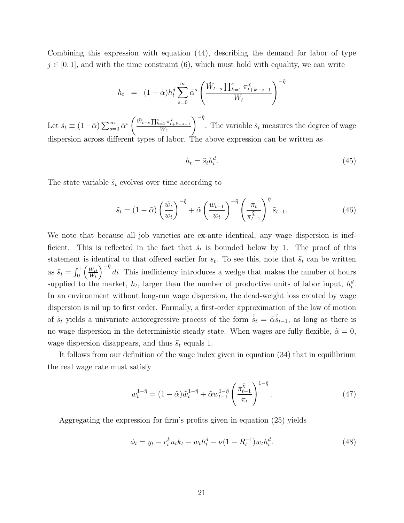Combining this expression with equation (44), describing the demand for labor of type  $j \in [0, 1]$ , and with the time constraint (6), which must hold with equality, we can write

$$
h_t = (1 - \tilde{\alpha}) h_t^d \sum_{s=0}^{\infty} \tilde{\alpha}^s \left( \frac{\tilde{W}_{t-s} \prod_{k=1}^s \pi_{t+k-s-1}^{\tilde{\chi}}}{W_t} \right)^{-\tilde{\eta}}
$$

Let  $\tilde{s}_t \equiv (1 - \tilde{\alpha}) \sum_{s=0}^{\infty} \tilde{\alpha}^s$  $\left(\frac{\tilde{W}_{t-s}\prod_{k=1}^s\pi_{t+k-s-1}^{\tilde{\chi}}}{W_t}\right.$  $\sqrt{-\tilde{\eta}}$ . The variable  $\tilde{s}_t$  measures the degree of wage dispersion across different types of labor. The above expression can be written as

$$
h_t = \tilde{s}_t h_t^d. \tag{45}
$$

The state variable  $\tilde{s}_t$  evolves over time according to

$$
\tilde{s}_t = (1 - \tilde{\alpha}) \left(\frac{\tilde{w}_t}{w_t}\right)^{-\tilde{\eta}} + \tilde{\alpha} \left(\frac{w_{t-1}}{w_t}\right)^{-\tilde{\eta}} \left(\frac{\pi_t}{\pi_{t-1}^{\tilde{\chi}}}\right)^{\tilde{\eta}} \tilde{s}_{t-1}.
$$
\n(46)

We note that because all job varieties are ex-ante identical, any wage dispersion is inefficient. This is reflected in the fact that  $\tilde{s}_t$  is bounded below by 1. The proof of this statement is identical to that offered earlier for  $s_t$ . To see this, note that  $\tilde{s}_t$  can be written as  $\tilde{s}_t = \int_0^1$  $\int W_{it}$  $W_t$  $\sqrt{-\tilde{\eta}}$ di. This inefficiency introduces a wedge that makes the number of hours supplied to the market,  $h_t$ , larger than the number of productive units of labor input,  $h_t^d$ . In an environment without long-run wage dispersion, the dead-weight loss created by wage dispersion is nil up to first order. Formally, a first-order approximation of the law of motion of  $\tilde{s}_t$  yields a univariate autoregressive process of the form  $\hat{\tilde{s}}_t = \tilde{\alpha} \hat{\tilde{s}}_{t-1}$ , as long as there is no wage dispersion in the deterministic steady state. When wages are fully flexible,  $\tilde{\alpha} = 0$ , wage dispersion disappears, and thus  $\tilde{s}_t$  equals 1.

It follows from our definition of the wage index given in equation (34) that in equilibrium the real wage rate must satisfy

$$
w_t^{1-\tilde{\eta}} = (1-\tilde{\alpha})\tilde{w}_t^{1-\tilde{\eta}} + \tilde{\alpha}w_{t-1}^{1-\tilde{\eta}} \left(\frac{\pi_{t-1}^{\tilde{\chi}}}{\pi_t}\right)^{1-\tilde{\eta}}.
$$
\n(47)

Aggregating the expression for firm's profits given in equation (25) yields

$$
\phi_t = y_t - r_t^k u_t k_t - w_t h_t^d - \nu (1 - R_t^{-1}) w_t h_t^d. \tag{48}
$$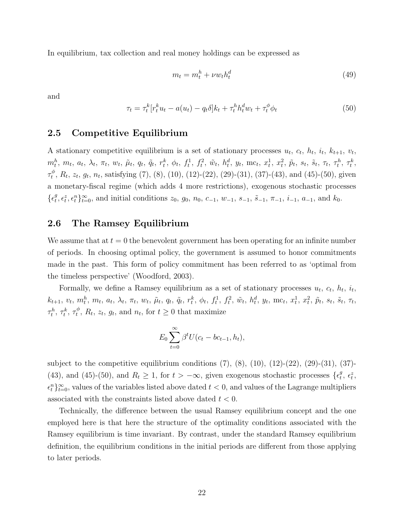In equilibrium, tax collection and real money holdings can be expressed as

$$
m_t = m_t^h + \nu w_t h_t^d \tag{49}
$$

and

$$
\tau_t = \tau_t^k [r_t^k u_t - a(u_t) - q_t \delta] k_t + \tau_t^h h_t^d w_t + \tau_t^{\phi} \phi_t \tag{50}
$$

#### **2.5 Competitive Equilibrium**

A stationary competitive equilibrium is a set of stationary processes  $u_t$ ,  $c_t$ ,  $h_t$ ,  $i_t$ ,  $k_{t+1}$ ,  $v_t$ ,  $m_t^h, m_t, a_t, \lambda_t, \pi_t, w_t, \tilde{\mu}_t, q_t, \tilde{q}_t, r_t^k, \phi_t, f_t^1, f_t^2, \tilde{w}_t, h_t^d, y_t, \text{mc}_t, x_t^1, x_t^2, \tilde{p}_t, s_t, \tilde{s}_t, \tau_t, \tau_t^h, \tau_t^k,$  $\tau_t^{\phi}, R_t, z_t, g_t, n_t$ , satisfying (7), (8), (10), (12)-(22), (29)-(31), (37)-(43), and (45)-(50), given a monetary-fiscal regime (which adds 4 more restrictions), exogenous stochastic processes  $\{\epsilon_t^g, \epsilon_t^z, \epsilon_t^n\}_{t=0}^{\infty}$ , and initial conditions  $z_0, g_0, n_0, c_{-1}, w_{-1}, s_{-1}, \tilde{s}_{-1}, \pi_{-1}, i_{-1}, a_{-1},$  and  $k_0$ .

#### **2.6 The Ramsey Equilibrium**

We assume that at  $t = 0$  the benevolent government has been operating for an infinite number of periods. In choosing optimal policy, the government is assumed to honor commitments made in the past. This form of policy commitment has been referred to as 'optimal from the timeless perspective' (Woodford, 2003).

Formally, we define a Ramsey equilibrium as a set of stationary processes  $u_t$ ,  $c_t$ ,  $h_t$ ,  $i_t$ ,  $k_{t+1}, v_t, m_t^h, m_t, a_t, \lambda_t, \pi_t, w_t, \tilde{\mu}_t, q_t, \tilde{q}_t, r_t^k, \phi_t, f_t^1, f_t^2, \tilde{w}_t, h_t^d, y_t, \text{mc}_t, x_t^1, x_t^2, \tilde{p}_t, s_t, \tilde{s}_t, \tau_t,$  $\tau_t^h$ ,  $\tau_t^k$ ,  $\tau_t^{\phi}$ ,  $R_t$ ,  $z_t$ ,  $g_t$ , and  $n_t$ , for  $t \geq 0$  that maximize

$$
E_0 \sum_{t=0}^{\infty} \beta^t U(c_t - bc_{t-1}, h_t),
$$

subject to the competitive equilibrium conditions  $(7)$ ,  $(8)$ ,  $(10)$ ,  $(12)-(22)$ ,  $(29)-(31)$ ,  $(37)-$ (43), and (45)-(50), and  $R_t \ge 1$ , for  $t > -\infty$ , given exogenous stochastic processes  $\{\epsilon_t^g, \epsilon_t^z, \epsilon_t^z, \epsilon_t^z, \epsilon_t^z, \epsilon_t^z, \epsilon_t^z, \epsilon_t^z, \epsilon_t^z, \epsilon_t^z, \epsilon_t^z, \epsilon_t^z, \epsilon_t^z, \epsilon_t^z, \epsilon_t^z, \epsilon_t^z, \epsilon_t^z, \epsilon_t^z, \epsilon_t^z, \epsilon_t^z, \epsilon_t^z, \epsilon_t^z, \$  $\{\epsilon_t^n\}_{t=0}^{\infty}$ , values of the variables listed above dated  $t < 0$ , and values of the Lagrange multipliers associated with the constraints listed above dated  $t < 0$ .

Technically, the difference between the usual Ramsey equilibrium concept and the one employed here is that here the structure of the optimality conditions associated with the Ramsey equilibrium is time invariant. By contrast, under the standard Ramsey equilibrium definition, the equilibrium conditions in the initial periods are different from those applying to later periods.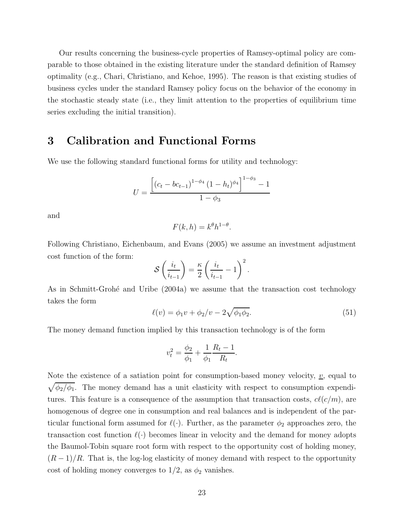Our results concerning the business-cycle properties of Ramsey-optimal policy are comparable to those obtained in the existing literature under the standard definition of Ramsey optimality (e.g., Chari, Christiano, and Kehoe, 1995). The reason is that existing studies of business cycles under the standard Ramsey policy focus on the behavior of the economy in the stochastic steady state (i.e., they limit attention to the properties of equilibrium time series excluding the initial transition).

### **3 Calibration and Functional Forms**

We use the following standard functional forms for utility and technology:

$$
U = \frac{\left[ (c_t - bc_{t-1})^{1 - \phi_4} (1 - h_t)^{\phi_4} \right]^{1 - \phi_3} - 1}{1 - \phi_3}
$$

and

$$
F(k, h) = k^{\theta} h^{1-\theta}.
$$

Following Christiano, Eichenbaum, and Evans (2005) we assume an investment adjustment cost function of the form:

$$
\mathcal{S}\left(\frac{i_t}{i_{t-1}}\right) = \frac{\kappa}{2}\left(\frac{i_t}{i_{t-1}} - 1\right)^2.
$$

As in Schmitt-Grohé and Uribe (2004a) we assume that the transaction cost technology takes the form

$$
\ell(v) = \phi_1 v + \phi_2/v - 2\sqrt{\phi_1 \phi_2}.
$$
\n(51)

The money demand function implied by this transaction technology is of the form

$$
v_t^2 = \frac{\phi_2}{\phi_1} + \frac{1}{\phi_1} \frac{R_t - 1}{R_t}.
$$

Note the existence of a satiation point for consumption-based money velocity,  $v$ , equal to  $\sqrt{\phi_2/\phi_1}$ . The money demand has a unit elasticity with respect to consumption expenditures. This feature is a consequence of the assumption that transaction costs,  $cl(c/m)$ , are homogenous of degree one in consumption and real balances and is independent of the particular functional form assumed for  $\ell(\cdot)$ . Further, as the parameter  $\phi_2$  approaches zero, the transaction cost function  $\ell(\cdot)$  becomes linear in velocity and the demand for money adopts the Baumol-Tobin square root form with respect to the opportunity cost of holding money,  $(R-1)/R$ . That is, the log-log elasticity of money demand with respect to the opportunity cost of holding money converges to  $1/2$ , as  $\phi_2$  vanishes.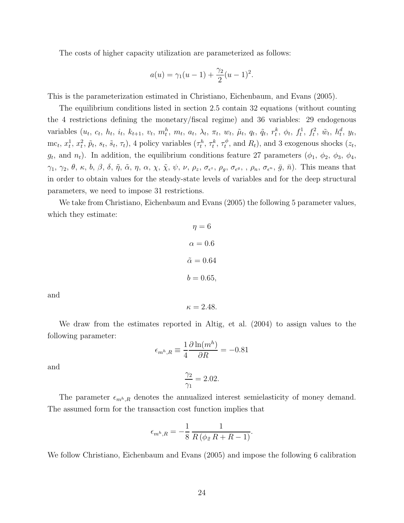The costs of higher capacity utilization are parameterized as follows:

$$
a(u) = \gamma_1(u-1) + \frac{\gamma_2}{2}(u-1)^2.
$$

This is the parameterization estimated in Christiano, Eichenbaum, and Evans (2005).

The equilibrium conditions listed in section 2.5 contain 32 equations (without counting the 4 restrictions defining the monetary/fiscal regime) and 36 variables: 29 endogenous variables  $(u_t, c_t, h_t, i_t, k_{t+1}, v_t, m_t^h, m_t, a_t, \lambda_t, \pi_t, w_t, \tilde{\mu}_t, q_t, \tilde{q}_t, r_t^k, \phi_t, f_t^1, f_t^2, \tilde{w}_t, h_t^d, y_t,$ mc<sub>t</sub>,  $x_t^1$ ,  $x_t^2$ ,  $\tilde{p}_t$ ,  $s_t$ ,  $\tilde{s}_t$ ,  $\tau_t$ ), 4 policy variables  $(\tau_t^h, \tau_t^k, \tau_t^{\phi})$ , and  $R_t$ ), and 3 exogenous shocks  $(z_t,$  $g_t$ , and  $n_t$ ). In addition, the equilibrium conditions feature 27 parameters  $(\phi_1, \phi_2, \phi_3, \phi_4, \phi_5)$  $\gamma_1$ ,  $\gamma_2$ ,  $\theta$ ,  $\kappa$ ,  $b$ ,  $\beta$ ,  $\delta$ ,  $\tilde{\eta}$ ,  $\tilde{\alpha}$ ,  $\eta$ ,  $\alpha$ ,  $\chi$ ,  $\tilde{\chi}$ ,  $\psi$ ,  $\nu$ ,  $\rho_z$ ,  $\sigma_{\epsilon^z}$ ,  $\rho_g$ ,  $\sigma_{\epsilon^g}$ , ,  $\rho_n$ ,  $\sigma_{\epsilon^n}$ ,  $\bar{g}$ ,  $\bar{n}$ ). This means that in order to obtain values for the steady-state levels of variables and for the deep structural parameters, we need to impose 31 restrictions.

We take from Christiano, Eichenbaum and Evans (2005) the following 5 parameter values, which they estimate:

$$
\eta = 6
$$

$$
\alpha = 0.6
$$

$$
\tilde{\alpha} = 0.64
$$

$$
b = 0.65
$$

and

We draw from the estimates reported in Altig, et al. (2004) to assign values to the following parameter:

 $\kappa = 2.48.$ 

$$
\epsilon_{m^h,R} \equiv \frac{1}{4} \frac{\partial \ln(m^h)}{\partial R} = -0.81
$$

 $\gamma_2$  $\gamma_1$ 

and

The parameter  $\epsilon_{m^h,R}$  denotes the annualized interest semielasticity of money demand. The assumed form for the transaction cost function implies that

 $= 2.02.$ 

$$
\epsilon_{m^h,R} = -\frac{1}{8} \frac{1}{R\left(\phi_2 R + -1\right)}.
$$

We follow Christiano, Eichenbaum and Evans (2005) and impose the following 6 calibration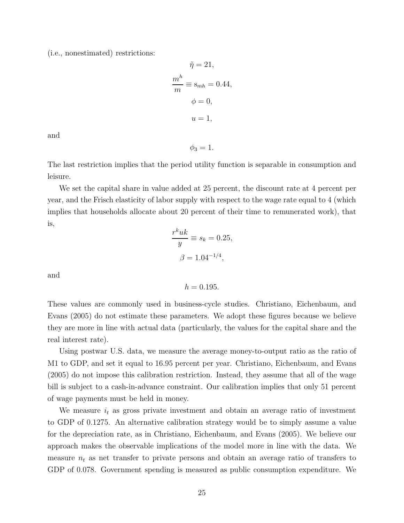(i.e., nonestimated) restrictions:

$$
\tilde{\eta} = 21,
$$
  
\n
$$
\frac{m^h}{m} \equiv s_{mh} = 0.44,
$$
  
\n
$$
\phi = 0,
$$
  
\n
$$
u = 1,
$$

and

 $\phi_3 = 1.$ 

The last restriction implies that the period utility function is separable in consumption and leisure.

We set the capital share in value added at 25 percent, the discount rate at 4 percent per year, and the Frisch elasticity of labor supply with respect to the wage rate equal to 4 (which implies that households allocate about 20 percent of their time to remunerated work), that is,

$$
\frac{r^k u k}{y} \equiv s_k = 0.25,
$$
  

$$
\beta = 1.04^{-1/4},
$$

and

 $h = 0.195$ .

These values are commonly used in business-cycle studies. Christiano, Eichenbaum, and Evans (2005) do not estimate these parameters. We adopt these figures because we believe they are more in line with actual data (particularly, the values for the capital share and the real interest rate).

Using postwar U.S. data, we measure the average money-to-output ratio as the ratio of M1 to GDP, and set it equal to 16.95 percent per year. Christiano, Eichenbaum, and Evans (2005) do not impose this calibration restriction. Instead, they assume that all of the wage bill is subject to a cash-in-advance constraint. Our calibration implies that only 51 percent of wage payments must be held in money.

We measure  $i_t$  as gross private investment and obtain an average ratio of investment to GDP of 0.1275. An alternative calibration strategy would be to simply assume a value for the depreciation rate, as in Christiano, Eichenbaum, and Evans (2005). We believe our approach makes the observable implications of the model more in line with the data. We measure  $n_t$  as net transfer to private persons and obtain an average ratio of transfers to GDP of 0.078. Government spending is measured as public consumption expenditure. We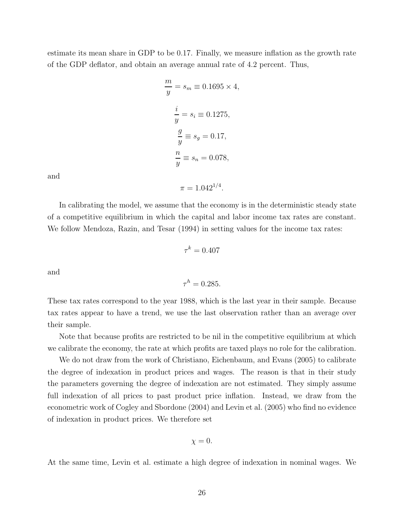estimate its mean share in GDP to be 0.17. Finally, we measure inflation as the growth rate of the GDP deflator, and obtain an average annual rate of 4.2 percent. Thus,

$$
\frac{m}{y} = s_m \equiv 0.1695 \times 4,
$$
  

$$
\frac{i}{y} = s_i \equiv 0.1275,
$$
  

$$
\frac{g}{y} \equiv s_g = 0.17,
$$
  

$$
\frac{n}{y} \equiv s_n = 0.078,
$$

and

In calibrating the model, we assume that the economy is in the deterministic steady state of a competitive equilibrium in which the capital and labor income tax rates are constant. We follow Mendoza, Razin, and Tesar (1994) in setting values for the income tax rates:

 $\pi = 1.042^{1/4}.$ 

$$
\tau^k = 0.407
$$

and

$$
\tau^h = 0.285.
$$

These tax rates correspond to the year 1988, which is the last year in their sample. Because tax rates appear to have a trend, we use the last observation rather than an average over their sample.

Note that because profits are restricted to be nil in the competitive equilibrium at which we calibrate the economy, the rate at which profits are taxed plays no role for the calibration.

We do not draw from the work of Christiano, Eichenbaum, and Evans (2005) to calibrate the degree of indexation in product prices and wages. The reason is that in their study the parameters governing the degree of indexation are not estimated. They simply assume full indexation of all prices to past product price inflation. Instead, we draw from the econometric work of Cogley and Sbordone (2004) and Levin et al. (2005) who find no evidence of indexation in product prices. We therefore set

$$
\chi=0.
$$

At the same time, Levin et al. estimate a high degree of indexation in nominal wages. We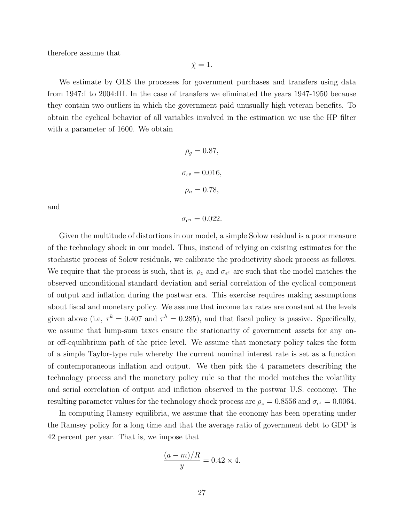therefore assume that

 $\tilde{\chi} = 1.$ 

We estimate by OLS the processes for government purchases and transfers using data from 1947:I to 2004:III. In the case of transfers we eliminated the years 1947-1950 because they contain two outliers in which the government paid unusually high veteran benefits. To obtain the cyclical behavior of all variables involved in the estimation we use the HP filter with a parameter of 1600. We obtain

$$
\rho_g = 0.87,
$$
  

$$
\sigma_{\epsilon^g} = 0.016,
$$
  

$$
\rho_n = 0.78,
$$

and

 $\sigma_{\epsilon^n} = 0.022$ .

Given the multitude of distortions in our model, a simple Solow residual is a poor measure of the technology shock in our model. Thus, instead of relying on existing estimates for the stochastic process of Solow residuals, we calibrate the productivity shock process as follows. We require that the process is such, that is,  $\rho_z$  and  $\sigma_{\epsilon^z}$  are such that the model matches the observed unconditional standard deviation and serial correlation of the cyclical component of output and inflation during the postwar era. This exercise requires making assumptions about fiscal and monetary policy. We assume that income tax rates are constant at the levels given above (i.e,  $\tau^k = 0.407$  and  $\tau^h = 0.285$ ), and that fiscal policy is passive. Specifically, we assume that lump-sum taxes ensure the stationarity of government assets for any onor off-equilibrium path of the price level. We assume that monetary policy takes the form of a simple Taylor-type rule whereby the current nominal interest rate is set as a function of contemporaneous inflation and output. We then pick the 4 parameters describing the technology process and the monetary policy rule so that the model matches the volatility and serial correlation of output and inflation observed in the postwar U.S. economy. The resulting parameter values for the technology shock process are  $\rho_z = 0.8556$  and  $\sigma_{\epsilon^z} = 0.0064$ .

In computing Ramsey equilibria, we assume that the economy has been operating under the Ramsey policy for a long time and that the average ratio of government debt to GDP is 42 percent per year. That is, we impose that

$$
\frac{(a-m)/R}{y} = 0.42 \times 4.
$$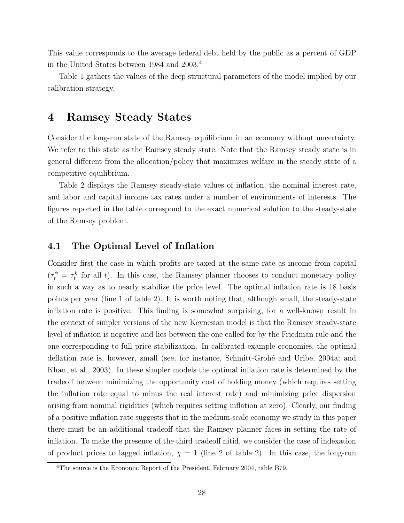This value corresponds to the average federal debt held by the public as a percent of GDP in the United States between 1984 and 2003.<sup>4</sup>

Table 1 gathers the values of the deep structural parameters of the model implied by our calibration strategy.

### **4 Ramsey Steady States**

Consider the long-run state of the Ramsey equilibrium in an economy without uncertainty. We refer to this state as the Ramsey steady state. Note that the Ramsey steady state is in general different from the allocation/policy that maximizes welfare in the steady state of a competitive equilibrium.

Table 2 displays the Ramsey steady-state values of inflation, the nominal interest rate, and labor and capital income tax rates under a number of environments of interests. The figures reported in the table correspond to the exact numerical solution to the steady-state of the Ramsey problem.

### **4.1 The Optimal Level of Inflation**

Consider first the case in which profits are taxed at the same rate as income from capital  $(\tau_t^{\phi} = \tau_t^k$  for all t). In this case, the Ramsey planner chooses to conduct monetary policy in such a way as to nearly stabilize the price level. The optimal inflation rate is 18 basis points per year (line 1 of table 2). It is worth noting that, although small, the steady-state inflation rate is positive. This finding is somewhat surprising, for a well-known result in the context of simpler versions of the new Keynesian model is that the Ramsey steady-state level of inflation is negative and lies between the one called for by the Friedman rule and the one corresponding to full price stabilization. In calibrated example economies, the optimal deflation rate is, however, small (see, for instance, Schmitt-Grohé and Uribe, 2004a; and Khan, et al., 2003). In these simpler models the optimal inflation rate is determined by the tradeoff between minimizing the opportunity cost of holding money (which requires setting the inflation rate equal to minus the real interest rate) and minimizing price dispersion arising from nominal rigidities (which requires setting inflation at zero). Clearly, our finding of a positive inflation rate suggests that in the medium-scale economy we study in this paper there must be an additional tradeoff that the Ramsey planner faces in setting the rate of inflation. To make the presence of the third tradeoff nitid, we consider the case of indexation of product prices to lagged inflation,  $\chi = 1$  (line 2 of table 2). In this case, the long-run

<sup>&</sup>lt;sup>4</sup>The source is the Economic Report of the President, February 2004, table B79.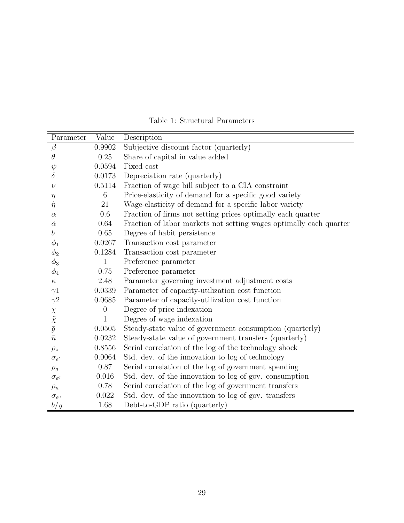| Parameter                                                | Value    | Description                                                        |
|----------------------------------------------------------|----------|--------------------------------------------------------------------|
| $\beta$                                                  | 0.9902   | Subjective discount factor (quarterly)                             |
| $\theta$                                                 | 0.25     | Share of capital in value added                                    |
| $\psi$                                                   | 0.0594   | Fixed cost                                                         |
| $\delta$                                                 | 0.0173   | Depreciation rate (quarterly)                                      |
| ν                                                        | 0.5114   | Fraction of wage bill subject to a CIA constraint                  |
| $\eta$                                                   | 6        | Price-elasticity of demand for a specific good variety             |
| $\tilde{\eta}$                                           | 21       | Wage-elasticity of demand for a specific labor variety             |
| $\alpha$                                                 | 0.6      | Fraction of firms not setting prices optimally each quarter        |
| $\tilde{\alpha}$                                         | 0.64     | Fraction of labor markets not setting wages optimally each quarter |
| b                                                        | 0.65     | Degree of habit persistence                                        |
| $\phi_1$                                                 | 0.0267   | Transaction cost parameter                                         |
| $\phi_2$                                                 | 0.1284   | Transaction cost parameter                                         |
| $\phi_3$                                                 | 1        | Preference parameter                                               |
| $\phi_4$                                                 | 0.75     | Preference parameter                                               |
| $\kappa$                                                 | 2.48     | Parameter governing investment adjustment costs                    |
| $\gamma 1$                                               | 0.0339   | Parameter of capacity-utilization cost function                    |
| $\gamma$ <sup>2</sup>                                    | 0.0685   | Parameter of capacity-utilization cost function                    |
|                                                          | $\theta$ | Degree of price indexation                                         |
| $\begin{array}{c}\chi\\ \tilde \chi\\ \bar g\end{array}$ | 1        | Degree of wage indexation                                          |
|                                                          | 0.0505   | Steady-state value of government consumption (quarterly)           |
| $\bar{n}$                                                | 0.0232   | Steady-state value of government transfers (quarterly)             |
| $\rho_z$                                                 | 0.8556   | Serial correlation of the log of the technology shock              |
| $\sigma_{\epsilon^z}$                                    | 0.0064   | Std. dev. of the innovation to log of technology                   |
| $\rho_g$                                                 | 0.87     | Serial correlation of the log of government spending               |
| $\sigma_{\epsilon^g}$                                    | 0.016    | Std. dev. of the innovation to log of gov. consumption             |
| $\rho_n$                                                 | 0.78     | Serial correlation of the log of government transfers              |
| $\sigma_{\epsilon^n}$                                    | 0.022    | Std. dev. of the innovation to log of gov. transfers               |
| b/y                                                      | 1.68     | Debt-to-GDP ratio (quarterly)                                      |

Table 1: Structural Parameters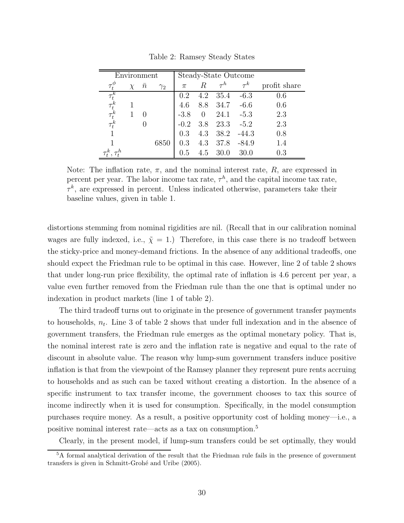| Environment  |        |          |            | Steady-State Outcome |               |      |              |     |
|--------------|--------|----------|------------|----------------------|---------------|------|--------------|-----|
|              | $\chi$ | $\, n$   | $\gamma_2$ | $\pi$                | $\tau^k$<br>R |      | profit share |     |
| $\tau_t^k$   |        |          |            | 0.2                  | 4.2           | 35.4 | $-6.3$       | 0.6 |
| $\tau^k_t$   |        |          |            | 4.6                  | 8.8           | 34.7 | $-6.6$       | 0.6 |
| $\tau^k_t$   | 1      |          |            | $-3.8$               | $\theta$      | 24.1 | $-5.3$       | 2.3 |
| $\tau_t^k$   |        | $\theta$ |            | $-0.2$               | 3.8           | 23.3 | $-5.2$       | 2.3 |
| $\mathbf{1}$ |        |          |            | 0.3                  | 4.3           | 38.2 | $-44.3$      | 0.8 |
|              |        |          | 6850       | 0.3                  | 4.3           | 37.8 | $-84.9$      | 1.4 |
|              |        |          |            | 0.5                  | 4.5           | 30.0 | 30.0         | 0.3 |

Table 2: Ramsey Steady States

Note: The inflation rate,  $\pi$ , and the nominal interest rate,  $R$ , are expressed in percent per year. The labor income tax rate,  $\tau^h$ , and the capital income tax rate,  $\tau^k$ , are expressed in percent. Unless indicated otherwise, parameters take their baseline values, given in table 1.

distortions stemming from nominal rigidities are nil. (Recall that in our calibration nominal wages are fully indexed, i.e.,  $\tilde{\chi} = 1$ .) Therefore, in this case there is no tradeoff between the sticky-price and money-demand frictions. In the absence of any additional tradeoffs, one should expect the Friedman rule to be optimal in this case. However, line 2 of table 2 shows that under long-run price flexibility, the optimal rate of inflation is 4.6 percent per year, a value even further removed from the Friedman rule than the one that is optimal under no indexation in product markets (line 1 of table 2).

The third tradeoff turns out to originate in the presence of government transfer payments to households,  $n_t$ . Line 3 of table 2 shows that under full indexation and in the absence of government transfers, the Friedman rule emerges as the optimal monetary policy. That is, the nominal interest rate is zero and the inflation rate is negative and equal to the rate of discount in absolute value. The reason why lump-sum government transfers induce positive inflation is that from the viewpoint of the Ramsey planner they represent pure rents accruing to households and as such can be taxed without creating a distortion. In the absence of a specific instrument to tax transfer income, the government chooses to tax this source of income indirectly when it is used for consumption. Specifically, in the model consumption purchases require money. As a result, a positive opportunity cost of holding money—i.e., a positive nominal interest rate—acts as a tax on consumption.<sup>5</sup>

Clearly, in the present model, if lump-sum transfers could be set optimally, they would

<sup>5</sup>A formal analytical derivation of the result that the Friedman rule fails in the presence of government transfers is given in Schmitt-Grohé and Uribe (2005).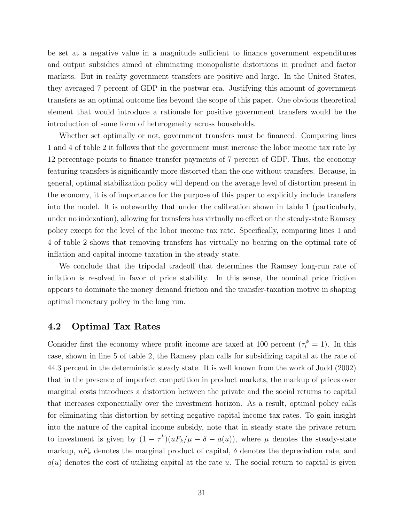be set at a negative value in a magnitude sufficient to finance government expenditures and output subsidies aimed at eliminating monopolistic distortions in product and factor markets. But in reality government transfers are positive and large. In the United States, they averaged 7 percent of GDP in the postwar era. Justifying this amount of government transfers as an optimal outcome lies beyond the scope of this paper. One obvious theoretical element that would introduce a rationale for positive government transfers would be the introduction of some form of heterogeneity across households.

Whether set optimally or not, government transfers must be financed. Comparing lines 1 and 4 of table 2 it follows that the government must increase the labor income tax rate by 12 percentage points to finance transfer payments of 7 percent of GDP. Thus, the economy featuring transfers is significantly more distorted than the one without transfers. Because, in general, optimal stabilization policy will depend on the average level of distortion present in the economy, it is of importance for the purpose of this paper to explicitly include transfers into the model. It is noteworthy that under the calibration shown in table 1 (particularly, under no indexation), allowing for transfers has virtually no effect on the steady-state Ramsey policy except for the level of the labor income tax rate. Specifically, comparing lines 1 and 4 of table 2 shows that removing transfers has virtually no bearing on the optimal rate of inflation and capital income taxation in the steady state.

We conclude that the tripodal tradeoff that determines the Ramsey long-run rate of inflation is resolved in favor of price stability. In this sense, the nominal price friction appears to dominate the money demand friction and the transfer-taxation motive in shaping optimal monetary policy in the long run.

#### **4.2 Optimal Tax Rates**

Consider first the economy where profit income are taxed at 100 percent  $(\tau_t^{\phi} = 1)$ . In this case, shown in line 5 of table 2, the Ramsey plan calls for subsidizing capital at the rate of 44.3 percent in the deterministic steady state. It is well known from the work of Judd (2002) that in the presence of imperfect competition in product markets, the markup of prices over marginal costs introduces a distortion between the private and the social returns to capital that increases exponentially over the investment horizon. As a result, optimal policy calls for eliminating this distortion by setting negative capital income tax rates. To gain insight into the nature of the capital income subsidy, note that in steady state the private return to investment is given by  $(1 - \tau^k)(uF_k/\mu - \delta - a(u))$ , where  $\mu$  denotes the steady-state markup,  $uF_k$  denotes the marginal product of capital,  $\delta$  denotes the depreciation rate, and  $a(u)$  denotes the cost of utilizing capital at the rate u. The social return to capital is given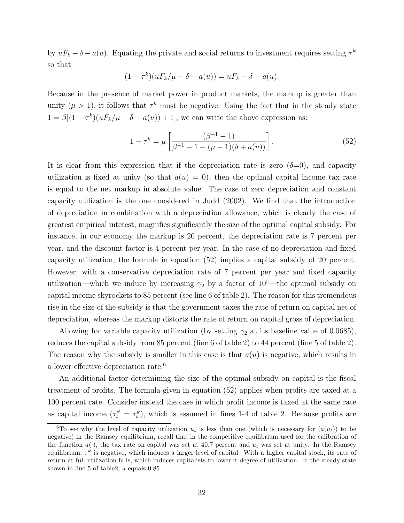by  $uF_k - \delta - a(u)$ . Equating the private and social returns to investment requires setting  $\tau^k$ so that

$$
(1 - \tau^k)(uF_k/\mu - \delta - a(u)) = uF_k - \delta - a(u).
$$

Because in the presence of market power in product markets, the markup is greater than unity ( $\mu > 1$ ), it follows that  $\tau^k$  must be negative. Using the fact that in the steady state  $1 = \beta[(1 - \tau^k)(uF_k/\mu - \delta - a(u)) + 1]$ , we can write the above expression as:

$$
1 - \tau^{k} = \mu \left[ \frac{(\beta^{-1} - 1)}{\beta^{-1} - 1 - (\mu - 1)(\delta + a(u))} \right].
$$
 (52)

It is clear from this expression that if the depreciation rate is zero  $(\delta=0)$ , and capacity utilization is fixed at unity (so that  $a(u) = 0$ ), then the optimal capital income tax rate is equal to the net markup in absolute value. The case of zero depreciation and constant capacity utilization is the one considered in Judd (2002). We find that the introduction of depreciation in combination with a depreciation allowance, which is clearly the case of greatest empirical interest, magnifies significantly the size of the optimal capital subsidy. For instance, in our economy the markup is 20 percent, the depreciation rate is 7 percent per year, and the discount factor is 4 percent per year. In the case of no depreciation and fixed capacity utilization, the formula in equation (52) implies a capital subsidy of 20 percent. However, with a conservative depreciation rate of 7 percent per year and fixed capacity utilization—which we induce by increasing  $\gamma_2$  by a factor of 10<sup>5</sup>—the optimal subsidy on capital income skyrockets to 85 percent (see line 6 of table 2). The reason for this tremendous rise in the size of the subsidy is that the government taxes the rate of return on capital net of depreciation, whereas the markup distorts the rate of return on capital gross of depreciation.

Allowing for variable capacity utilization (by setting  $\gamma_2$  at its baseline value of 0.0685), reduces the capital subsidy from 85 percent (line 6 of table 2) to 44 percent (line 5 of table 2). The reason why the subsidy is smaller in this case is that  $a(u)$  is negative, which results in a lower effective depreciation rate.<sup>6</sup>

An additional factor determining the size of the optimal subsidy on capital is the fiscal treatment of profits. The formula given in equation (52) applies when profits are taxed at a 100 percent rate. Consider instead the case in which profit income is taxed at the same rate as capital income  $(\tau_t^{\phi} = \tau_t^k)$ , which is assumed in lines 1-4 of table 2. Because profits are

<sup>&</sup>lt;sup>6</sup>To see why the level of capacity utilization  $u_t$  is less than one (which is necessary for  $(a(u_t))$ ) to be negative) in the Ramsey equilibrium, recall that in the competitive equilibrium used for the calibration of the function  $a(\cdot)$ , the tax rate on capital was set at 40.7 percent and  $u_t$  was set at unity. In the Ramsey equilibrium,  $\tau^k$  is negative, which induces a larger level of capital. With a higher capital stock, its rate of return at full utilization falls, which induces capitalists to lower it degree of utilization. In the steady state shown in line 5 of table2,  $u$  equals 0.85.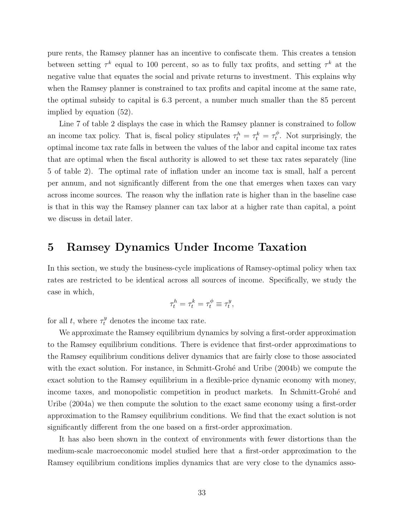pure rents, the Ramsey planner has an incentive to confiscate them. This creates a tension between setting  $\tau^k$  equal to 100 percent, so as to fully tax profits, and setting  $\tau^k$  at the negative value that equates the social and private returns to investment. This explains why when the Ramsey planner is constrained to tax profits and capital income at the same rate, the optimal subsidy to capital is 6.3 percent, a number much smaller than the 85 percent implied by equation (52).

Line 7 of table 2 displays the case in which the Ramsey planner is constrained to follow an income tax policy. That is, fiscal policy stipulates  $\tau_t^h = \tau_t^k = \tau_t^{\phi}$ . Not surprisingly, the optimal income tax rate falls in between the values of the labor and capital income tax rates that are optimal when the fiscal authority is allowed to set these tax rates separately (line 5 of table 2). The optimal rate of inflation under an income tax is small, half a percent per annum, and not significantly different from the one that emerges when taxes can vary across income sources. The reason why the inflation rate is higher than in the baseline case is that in this way the Ramsey planner can tax labor at a higher rate than capital, a point we discuss in detail later.

### **5 Ramsey Dynamics Under Income Taxation**

In this section, we study the business-cycle implications of Ramsey-optimal policy when tax rates are restricted to be identical across all sources of income. Specifically, we study the case in which,

$$
\tau_t^h = \tau_t^k = \tau_t^{\phi} \equiv \tau_t^y,
$$

for all t, where  $\tau_t^y$  denotes the income tax rate.

We approximate the Ramsey equilibrium dynamics by solving a first-order approximation to the Ramsey equilibrium conditions. There is evidence that first-order approximations to the Ramsey equilibrium conditions deliver dynamics that are fairly close to those associated with the exact solution. For instance, in Schmitt-Grohé and Uribe  $(2004b)$  we compute the exact solution to the Ramsey equilibrium in a flexible-price dynamic economy with money, income taxes, and monopolistic competition in product markets. In Schmitt-Grohé and Uribe (2004a) we then compute the solution to the exact same economy using a first-order approximation to the Ramsey equilibrium conditions. We find that the exact solution is not significantly different from the one based on a first-order approximation.

It has also been shown in the context of environments with fewer distortions than the medium-scale macroeconomic model studied here that a first-order approximation to the Ramsey equilibrium conditions implies dynamics that are very close to the dynamics asso-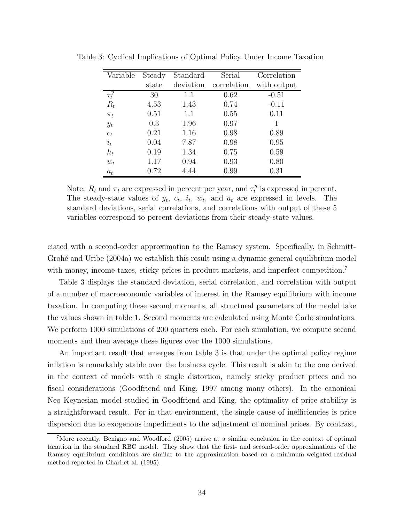| Variable   | Steady | Standard  | Serial      | Correlation |
|------------|--------|-----------|-------------|-------------|
|            | state  | deviation | correlation | with output |
| $\tau_t^y$ | 30     | 1.1       | 0.62        | $-0.51$     |
| $R_t$      | 4.53   | 1.43      | 0.74        | $-0.11$     |
| $\pi_t$    | 0.51   | 1.1       | 0.55        | 0.11        |
| $y_t$      | 0.3    | 1.96      | 0.97        | 1           |
| $c_t$      | 0.21   | 1.16      | 0.98        | 0.89        |
| $i_t$      | 0.04   | 7.87      | 0.98        | 0.95        |
| $h_t$      | 0.19   | 1.34      | 0.75        | 0.59        |
| $w_t$      | 1.17   | 0.94      | 0.93        | 0.80        |
| $a_t$      | 0.72   | 4.44      | 0.99        | 0.31        |

Table 3: Cyclical Implications of Optimal Policy Under Income Taxation

Note:  $R_t$  and  $\pi_t$  are expressed in percent per year, and  $\tau_t^y$  is expressed in percent. The steady-state values of  $y_t$ ,  $c_t$ ,  $i_t$ ,  $w_t$ , and  $a_t$  are expressed in levels. The standard deviations, serial correlations, and correlations with output of these 5 variables correspond to percent deviations from their steady-state values.

ciated with a second-order approximation to the Ramsey system. Specifically, in Schmitt-Grohé and Uribe  $(2004a)$  we establish this result using a dynamic general equilibrium model with money, income taxes, sticky prices in product markets, and imperfect competition.<sup>7</sup>

Table 3 displays the standard deviation, serial correlation, and correlation with output of a number of macroeconomic variables of interest in the Ramsey equilibrium with income taxation. In computing these second moments, all structural parameters of the model take the values shown in table 1. Second moments are calculated using Monte Carlo simulations. We perform 1000 simulations of 200 quarters each. For each simulation, we compute second moments and then average these figures over the 1000 simulations.

An important result that emerges from table 3 is that under the optimal policy regime inflation is remarkably stable over the business cycle. This result is akin to the one derived in the context of models with a single distortion, namely sticky product prices and no fiscal considerations (Goodfriend and King, 1997 among many others). In the canonical Neo Keynesian model studied in Goodfriend and King, the optimality of price stability is a straightforward result. For in that environment, the single cause of inefficiencies is price dispersion due to exogenous impediments to the adjustment of nominal prices. By contrast,

<sup>7</sup>More recently, Benigno and Woodford (2005) arrive at a similar conclusion in the context of optimal taxation in the standard RBC model. They show that the first- and second-order approximations of the Ramsey equilibrium conditions are similar to the approximation based on a minimum-weighted-residual method reported in Chari et al. (1995).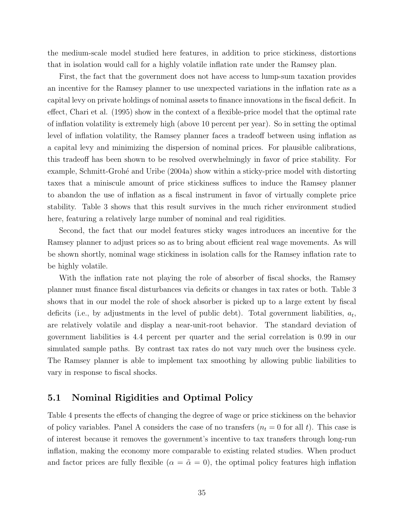the medium-scale model studied here features, in addition to price stickiness, distortions that in isolation would call for a highly volatile inflation rate under the Ramsey plan.

First, the fact that the government does not have access to lump-sum taxation provides an incentive for the Ramsey planner to use unexpected variations in the inflation rate as a capital levy on private holdings of nominal assets to finance innovations in the fiscal deficit. In effect, Chari et al. (1995) show in the context of a flexible-price model that the optimal rate of inflation volatility is extremely high (above 10 percent per year). So in setting the optimal level of inflation volatility, the Ramsey planner faces a tradeoff between using inflation as a capital levy and minimizing the dispersion of nominal prices. For plausible calibrations, this tradeoff has been shown to be resolved overwhelmingly in favor of price stability. For example, Schmitt-Grohé and Uribe (2004a) show within a sticky-price model with distorting taxes that a miniscule amount of price stickiness suffices to induce the Ramsey planner to abandon the use of inflation as a fiscal instrument in favor of virtually complete price stability. Table 3 shows that this result survives in the much richer environment studied here, featuring a relatively large number of nominal and real rigidities.

Second, the fact that our model features sticky wages introduces an incentive for the Ramsey planner to adjust prices so as to bring about efficient real wage movements. As will be shown shortly, nominal wage stickiness in isolation calls for the Ramsey inflation rate to be highly volatile.

With the inflation rate not playing the role of absorber of fiscal shocks, the Ramsey planner must finance fiscal disturbances via deficits or changes in tax rates or both. Table 3 shows that in our model the role of shock absorber is picked up to a large extent by fiscal deficits (i.e., by adjustments in the level of public debt). Total government liabilities,  $a_t$ , are relatively volatile and display a near-unit-root behavior. The standard deviation of government liabilities is 4.4 percent per quarter and the serial correlation is 0.99 in our simulated sample paths. By contrast tax rates do not vary much over the business cycle. The Ramsey planner is able to implement tax smoothing by allowing public liabilities to vary in response to fiscal shocks.

#### **5.1 Nominal Rigidities and Optimal Policy**

Table 4 presents the effects of changing the degree of wage or price stickiness on the behavior of policy variables. Panel A considers the case of no transfers  $(n_t = 0 \text{ for all } t)$ . This case is of interest because it removes the government's incentive to tax transfers through long-run inflation, making the economy more comparable to existing related studies. When product and factor prices are fully flexible  $(\alpha = \tilde{\alpha} = 0)$ , the optimal policy features high inflation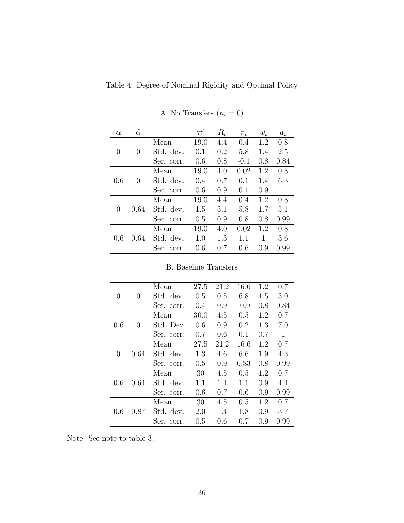| $\alpha$         | $\tilde{}$<br>$\alpha$ |            | $\overline{\tau^y_t}$ | $R_t$ | $\pi_t$ | $w_t$ | $a_t$ |
|------------------|------------------------|------------|-----------------------|-------|---------|-------|-------|
|                  |                        | Mean       | 19.0                  | 4.4   | 0.4     | 1.2   | 0.8   |
| 0                | $\theta$               | Std. dev.  | 0.1                   | 0.2   | 5.8     | 1.4   | 2.5   |
|                  |                        | Ser. corr. | 0.6                   | 0.8   | $-0.1$  | 0.8   | 0.84  |
|                  |                        | Mean       | 19.0                  | 4.0   | 0.02    | 1.2   | 0.8   |
| 0.6              | $\left( \right)$       | Std. dev.  | 0.4                   | 0.7   | 0.1     | 1.4   | 6.3   |
|                  |                        | Ser. corr. | 0.6                   | 0.9   | 0.1     | 0.9   | 1     |
|                  | 0.64                   | Mean       | 19.0                  | 4.4   | 0.4     | 1.2   | 0.8   |
| $\left( \right)$ |                        | Std. dev.  | 1.5                   | 3.1   | 5.8     | 1.7   | 5.1   |
|                  |                        | Ser. corr  | 0.5                   | 0.9   | 0.8     | 0.8   | 0.99  |
|                  | 0.64                   | Mean       | 19.0                  | 4.0   | 0.02    | 1.2   | 0.8   |
| 0.6              |                        | Std. dev.  | 1.0                   | 1.3   | 1.1     | 1     | 3.6   |
|                  |                        | Ser. corr. | 0.6                   | 0.7   | 0.6     | 0.9   | 0.99  |

A. No Transfers  $\left(n_{t}=0\right)$ 

Table 4: Degree of Nominal Rigidity and Optimal Policy

|                  |          | Mean       | 27.5 | 21.2 | 16.6    | 1.2 | 0.7  |
|------------------|----------|------------|------|------|---------|-----|------|
| $\left( \right)$ | $\theta$ | Std. dev.  | 0.5  | 0.5  | 6.8     | 1.5 | 3.0  |
|                  |          | Ser. corr. | 0.4  | 0.9  | $-0.0$  | 0.8 | 0.84 |
|                  |          | Mean       | 30.0 | 4.5  | 0.5     | 1.2 | 0.7  |
| 0.6              | $\theta$ | Std. Dev.  | 0.6  | 0.9  | $0.2\,$ | 1.3 | 7.0  |
|                  |          | Ser. corr. | 0.7  | 0.6  | 0.1     | 0.7 | 1    |
|                  | 0.64     | Mean       | 27.5 | 21.2 | 16.6    | 1.2 | 0.7  |
| $\left( \right)$ |          | Std. dev.  | 1.3  | 4.6  | 6.6     | 1.9 | 4.3  |
|                  |          | Ser. corr. | 0.5  | 0.9  | 0.83    | 0.8 | 0.99 |
|                  | 0.64     | Mean       | 30   | 4.5  | 0.5     | 1.2 | 0.7  |
| 0.6              |          | Std. dev.  | 1.1  | 1.4  | 1.1     | 0.9 | 4.4  |
|                  |          | Ser. corr. | 0.6  | 0.7  | 0.6     | 0.9 | 0.99 |
| 0.6              |          | Mean       | 30   | 4.5  | 0.5     | 1.2 | 0.7  |
|                  | 0.87     | Std. dev.  | 2.0  | 1.4  | 1.8     | 0.9 | 3.7  |
|                  |          | Ser. corr. | 0.5  | 0.6  | 0.7     | 0.9 | 0.99 |

B. Baseline Transfers

Note: See note to table 3.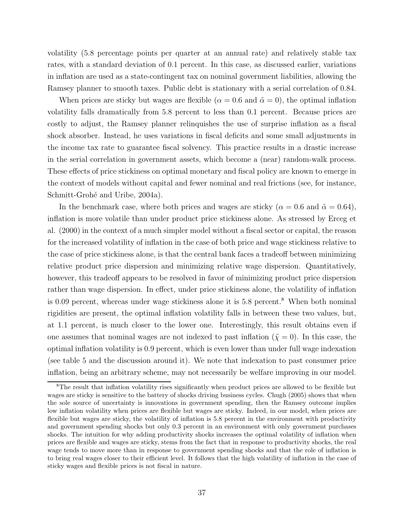volatility (5.8 percentage points per quarter at an annual rate) and relatively stable tax rates, with a standard deviation of 0.1 percent. In this case, as discussed earlier, variations in inflation are used as a state-contingent tax on nominal government liabilities, allowing the Ramsey planner to smooth taxes. Public debt is stationary with a serial correlation of 0.84.

When prices are sticky but wages are flexible ( $\alpha = 0.6$  and  $\tilde{\alpha} = 0$ ), the optimal inflation volatility falls dramatically from 5.8 percent to less than 0.1 percent. Because prices are costly to adjust, the Ramsey planner relinquishes the use of surprise inflation as a fiscal shock absorber. Instead, he uses variations in fiscal deficits and some small adjustments in the income tax rate to guarantee fiscal solvency. This practice results in a drastic increase in the serial correlation in government assets, which become a (near) random-walk process. These effects of price stickiness on optimal monetary and fiscal policy are known to emerge in the context of models without capital and fewer nominal and real frictions (see, for instance, Schmitt-Grohé and Uribe, 2004a).

In the benchmark case, where both prices and wages are sticky ( $\alpha = 0.6$  and  $\tilde{\alpha} = 0.64$ ), inflation is more volatile than under product price stickiness alone. As stressed by Erceg et al. (2000) in the context of a much simpler model without a fiscal sector or capital, the reason for the increased volatility of inflation in the case of both price and wage stickiness relative to the case of price stickiness alone, is that the central bank faces a tradeoff between minimizing relative product price dispersion and minimizing relative wage dispersion. Quantitatively, however, this tradeoff appears to be resolved in favor of minimizing product price dispersion rather than wage dispersion. In effect, under price stickiness alone, the volatility of inflation is 0.09 percent, whereas under wage stickiness alone it is  $5.8$  percent.<sup>8</sup> When both nominal rigidities are present, the optimal inflation volatility falls in between these two values, but, at 1.1 percent, is much closer to the lower one. Interestingly, this result obtains even if one assumes that nominal wages are not indexed to past inflation ( $\tilde{\chi} = 0$ ). In this case, the optimal inflation volatility is 0.9 percent, which is even lower than under full wage indexation (see table 5 and the discussion around it). We note that indexation to past consumer price inflation, being an arbitrary scheme, may not necessarily be welfare improving in our model.

<sup>&</sup>lt;sup>8</sup>The result that inflation volatility rises significantly when product prices are allowed to be flexible but wages are sticky is sensitive to the battery of shocks driving business cycles. Chugh (2005) shows that when the sole source of uncertainty is innovations in government spending, then the Ramsey outcome implies low inflation volatility when prices are flexible but wages are sticky. Indeed, in our model, when prices are flexible but wages are sticky, the volatility of inflation is 5.8 percent in the environment with productivity and government spending shocks but only 0.3 percent in an environment with only government purchases shocks. The intuition for why adding productivity shocks increases the optimal volatility of inflation when prices are flexible and wages are sticky, stems from the fact that in response to productivity shocks, the real wage tends to move more than in response to government spending shocks and that the role of inflation is to bring real wages closer to their efficient level. It follows that the high volatility of inflation in the case of sticky wages and flexible prices is not fiscal in nature.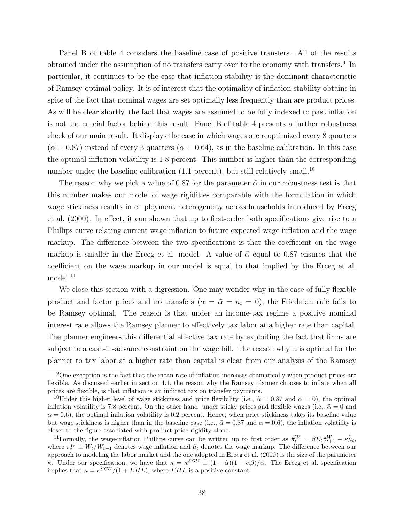Panel B of table 4 considers the baseline case of positive transfers. All of the results obtained under the assumption of no transfers carry over to the economy with transfers.<sup>9</sup> In particular, it continues to be the case that inflation stability is the dominant characteristic of Ramsey-optimal policy. It is of interest that the optimality of inflation stability obtains in spite of the fact that nominal wages are set optimally less frequently than are product prices. As will be clear shortly, the fact that wages are assumed to be fully indexed to past inflation is not the crucial factor behind this result. Panel B of table 4 presents a further robustness check of our main result. It displays the case in which wages are reoptimized every 8 quarters  $({\tilde{\alpha}} = 0.87)$  instead of every 3 quarters  $({\tilde{\alpha}} = 0.64)$ , as in the baseline calibration. In this case the optimal inflation volatility is 1.8 percent. This number is higher than the corresponding number under the baseline calibration (1.1 percent), but still relatively small.<sup>10</sup>

The reason why we pick a value of 0.87 for the parameter  $\tilde{\alpha}$  in our robustness test is that this number makes our model of wage rigidities comparable with the formulation in which wage stickiness results in employment heterogeneity across households introduced by Erceg et al. (2000). In effect, it can shown that up to first-order both specifications give rise to a Phillips curve relating current wage inflation to future expected wage inflation and the wage markup. The difference between the two specifications is that the coefficient on the wage markup is smaller in the Erceg et al. model. A value of  $\tilde{\alpha}$  equal to 0.87 ensures that the coefficient on the wage markup in our model is equal to that implied by the Erceg et al. model.<sup>11</sup>

We close this section with a digression. One may wonder why in the case of fully flexible product and factor prices and no transfers  $(\alpha = \tilde{\alpha} = n_t = 0)$ , the Friedman rule fails to be Ramsey optimal. The reason is that under an income-tax regime a positive nominal interest rate allows the Ramsey planner to effectively tax labor at a higher rate than capital. The planner engineers this differential effective tax rate by exploiting the fact that firms are subject to a cash-in-advance constraint on the wage bill. The reason why it is optimal for the planner to tax labor at a higher rate than capital is clear from our analysis of the Ramsey

 $9$ One exception is the fact that the mean rate of inflation increases dramatically when product prices are flexible. As discussed earlier in section 4.1, the reason why the Ramsey planner chooses to inflate when all prices are flexible, is that inflation is an indirect tax on transfer payments.

<sup>&</sup>lt;sup>10</sup>Under this higher level of wage stickiness and price flexibility (i.e.,  $\tilde{\alpha} = 0.87$  and  $\alpha = 0$ ), the optimal inflation volatility is 7.8 percent. On the other hand, under sticky prices and flexible wages (i.e.,  $\tilde{\alpha} = 0$  and  $\alpha = 0.6$ ), the optimal inflation volatility is 0.2 percent. Hence, when price stickiness takes its baseline value but wage stickiness is higher than in the baseline case (i.e.,  $\tilde{\alpha} = 0.87$  and  $\alpha = 0.6$ ), the inflation volatility is closer to the figure associated with product-price rigidity alone.

<sup>&</sup>lt;sup>11</sup>Formally, the wage-inflation Phillips curve can be written up to first order as  $\hat{\pi}_t^W = \beta E_t \hat{\pi}_{t+1}^W - \kappa \hat{\mu}_t$ , where  $\pi_t^W \equiv W_t/W_{t-1}$  denotes wage inflation and  $\tilde{\mu}_t$  denotes the wage markup. The difference between our approach to modeling the labor market and the one adopted in Erceg et al. (2000) is the size of the parameter κ. Under our specification, we have that  $\kappa = \kappa^{SGU} \equiv (1 - \tilde{\alpha})(1 - \tilde{\alpha}\beta)/\tilde{\alpha}$ . The Erceg et al. specification implies that  $\kappa = \kappa^{SGU}/(1 + EHL)$ , where  $EHL$  is a positive constant.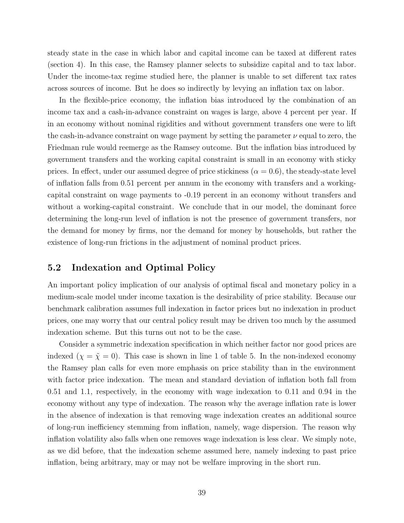steady state in the case in which labor and capital income can be taxed at different rates (section 4). In this case, the Ramsey planner selects to subsidize capital and to tax labor. Under the income-tax regime studied here, the planner is unable to set different tax rates across sources of income. But he does so indirectly by levying an inflation tax on labor.

In the flexible-price economy, the inflation bias introduced by the combination of an income tax and a cash-in-advance constraint on wages is large, above 4 percent per year. If in an economy without nominal rigidities and without government transfers one were to lift the cash-in-advance constraint on wage payment by setting the parameter  $\nu$  equal to zero, the Friedman rule would reemerge as the Ramsey outcome. But the inflation bias introduced by government transfers and the working capital constraint is small in an economy with sticky prices. In effect, under our assumed degree of price stickiness  $(\alpha = 0.6)$ , the steady-state level of inflation falls from 0.51 percent per annum in the economy with transfers and a workingcapital constraint on wage payments to -0.19 percent in an economy without transfers and without a working-capital constraint. We conclude that in our model, the dominant force determining the long-run level of inflation is not the presence of government transfers, nor the demand for money by firms, nor the demand for money by households, but rather the existence of long-run frictions in the adjustment of nominal product prices.

#### **5.2 Indexation and Optimal Policy**

An important policy implication of our analysis of optimal fiscal and monetary policy in a medium-scale model under income taxation is the desirability of price stability. Because our benchmark calibration assumes full indexation in factor prices but no indexation in product prices, one may worry that our central policy result may be driven too much by the assumed indexation scheme. But this turns out not to be the case.

Consider a symmetric indexation specification in which neither factor nor good prices are indexed  $(\chi = \tilde{\chi} = 0)$ . This case is shown in line 1 of table 5. In the non-indexed economy the Ramsey plan calls for even more emphasis on price stability than in the environment with factor price indexation. The mean and standard deviation of inflation both fall from 0.51 and 1.1, respectively, in the economy with wage indexation to 0.11 and 0.94 in the economy without any type of indexation. The reason why the average inflation rate is lower in the absence of indexation is that removing wage indexation creates an additional source of long-run inefficiency stemming from inflation, namely, wage dispersion. The reason why inflation volatility also falls when one removes wage indexation is less clear. We simply note, as we did before, that the indexation scheme assumed here, namely indexing to past price inflation, being arbitrary, may or may not be welfare improving in the short run.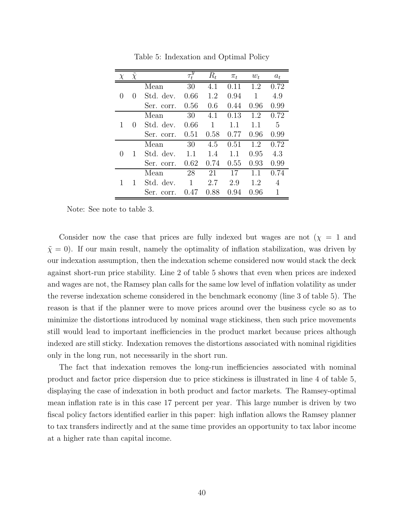|              | $\chi$       |               | $\overline{\tau_t^y}$ | $R_t$ | $\pi_t$ | $w_t$ | $a_t$ |
|--------------|--------------|---------------|-----------------------|-------|---------|-------|-------|
|              |              | Mean          | 30                    | 4.1   | 0.11    | 1.2   | 0.72  |
| $\theta$     | $\cup$       | Std. dev.     | 0.66                  | 1.2   | 0.94    | 1     | 4.9   |
|              |              | Ser. corr.    | 0.56                  | 0.6   | 0.44    | 0.96  | 0.99  |
|              |              | Mean          | 30                    | 4.1   | 0.13    | 1.2   | 0.72  |
| 1            | $\mathbf{0}$ | Std. dev.     | 0.66                  | 1     | 1.1     | 1.1   | 5     |
|              |              | Ser. corr.    | 0.51                  | 0.58  | 0.77    | 0.96  | 0.99  |
|              |              | Mean          | 30                    | 4.5   | 0.51    | 1.2   | 0.72  |
| $\mathbf{0}$ |              | Std. dev.     | 1.1                   | 1.4   | 1.1     | 0.95  | 4.3   |
|              |              | Ser. corr.    | 0.62                  | 0.74  | 0.55    | 0.93  | 0.99  |
|              |              | Mean          | 28                    | 21    | 17      | 1.1   | 0.74  |
|              |              | Std. dev.     | 1                     | 2.7   | 2.9     | 1.2   | 4     |
|              |              | Ser.<br>corr. | 0.47                  | 0.88  | 0.94    | 0.96  | 1     |

Table 5: Indexation and Optimal Policy

Note: See note to table 3.

Consider now the case that prices are fully indexed but wages are not  $(\chi = 1)$  and  $\tilde{\chi} = 0$ . If our main result, namely the optimality of inflation stabilization, was driven by our indexation assumption, then the indexation scheme considered now would stack the deck against short-run price stability. Line 2 of table 5 shows that even when prices are indexed and wages are not, the Ramsey plan calls for the same low level of inflation volatility as under the reverse indexation scheme considered in the benchmark economy (line 3 of table 5). The reason is that if the planner were to move prices around over the business cycle so as to minimize the distortions introduced by nominal wage stickiness, then such price movements still would lead to important inefficiencies in the product market because prices although indexed are still sticky. Indexation removes the distortions associated with nominal rigidities only in the long run, not necessarily in the short run.

The fact that indexation removes the long-run inefficiencies associated with nominal product and factor price dispersion due to price stickiness is illustrated in line 4 of table 5, displaying the case of indexation in both product and factor markets. The Ramsey-optimal mean inflation rate is in this case 17 percent per year. This large number is driven by two fiscal policy factors identified earlier in this paper: high inflation allows the Ramsey planner to tax transfers indirectly and at the same time provides an opportunity to tax labor income at a higher rate than capital income.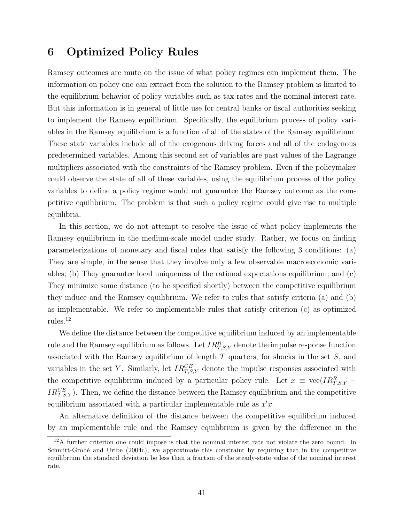### **6 Optimized Policy Rules**

Ramsey outcomes are mute on the issue of what policy regimes can implement them. The information on policy one can extract from the solution to the Ramsey problem is limited to the equilibrium behavior of policy variables such as tax rates and the nominal interest rate. But this information is in general of little use for central banks or fiscal authorities seeking to implement the Ramsey equilibrium. Specifically, the equilibrium process of policy variables in the Ramsey equilibrium is a function of all of the states of the Ramsey equilibrium. These state variables include all of the exogenous driving forces and all of the endogenous predetermined variables. Among this second set of variables are past values of the Lagrange multipliers associated with the constraints of the Ramsey problem. Even if the policymaker could observe the state of all of these variables, using the equilibrium process of the policy variables to define a policy regime would not guarantee the Ramsey outcome as the competitive equilibrium. The problem is that such a policy regime could give rise to multiple equilibria.

In this section, we do not attempt to resolve the issue of what policy implements the Ramsey equilibrium in the medium-scale model under study. Rather, we focus on finding parameterizations of monetary and fiscal rules that satisfy the following 3 conditions: (a) They are simple, in the sense that they involve only a few observable macroeconomic variables; (b) They guarantee local uniqueness of the rational expectations equilibrium; and (c) They minimize some distance (to be specified shortly) between the competitive equilibrium they induce and the Ramsey equilibrium. We refer to rules that satisfy criteria (a) and (b) as implementable. We refer to implementable rules that satisfy criterion (c) as optimized rules.<sup>12</sup>

We define the distance between the competitive equilibrium induced by an implementable rule and the Ramsey equilibrium as follows. Let  $IR_{T,S,Y}^{R}$  denote the impulse response function associated with the Ramsey equilibrium of length  $T$  quarters, for shocks in the set  $S$ , and variables in the set Y. Similarly, let  $IR_{T,S,Y}^{CE}$  denote the impulse responses associated with the competitive equilibrium induced by a particular policy rule. Let  $x \equiv \text{vec}(IR_{T,S,Y}^R IR_{T,S,Y}^{CE}$ ). Then, we define the distance between the Ramsey equilibrium and the competitive equilibrium associated with a particular implementable rule as  $x'x$ .

An alternative definition of the distance between the competitive equilibrium induced by an implementable rule and the Ramsey equilibrium is given by the difference in the

 $12A$  further criterion one could impose is that the nominal interest rate not violate the zero bound. In Schmitt-Grohé and Uribe (2004c), we approximate this constraint by requiring that in the competitive equilibrium the standard deviation be less than a fraction of the steady-state value of the nominal interest rate.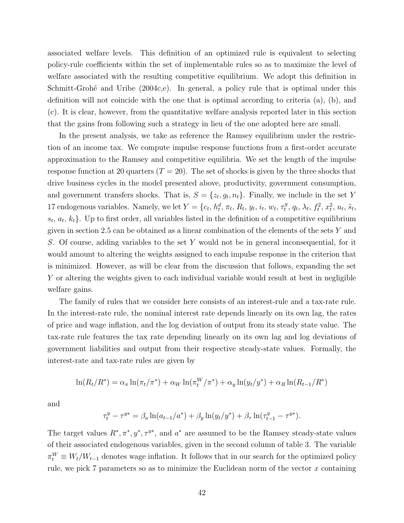associated welfare levels. This definition of an optimized rule is equivalent to selecting policy-rule coefficients within the set of implementable rules so as to maximize the level of welfare associated with the resulting competitive equilibrium. We adopt this definition in Schmitt-Grohé and Uribe  $(2004c,e)$ . In general, a policy rule that is optimal under this definition will not coincide with the one that is optimal according to criteria (a), (b), and (c). It is clear, however, from the quantitative welfare analysis reported later in this section that the gains from following such a strategy in lieu of the one adopted here are small.

In the present analysis, we take as reference the Ramsey equilibrium under the restriction of an income tax. We compute impulse response functions from a first-order accurate approximation to the Ramsey and competitive equilibria. We set the length of the impulse response function at 20 quarters  $(T = 20)$ . The set of shocks is given by the three shocks that drive business cycles in the model presented above, productivity, government consumption, and government transfers shocks. That is,  $S = \{z_t, g_t, n_t\}$ . Finally, we include in the set Y 17 endogenous variables. Namely, we let  $Y = \{c_t, h_t^d, \pi_t, R_t, y_t, i_t, w_t, \tau_t^y, q_t, \lambda_t, f_t^2, x_t^2, u_t, \tilde{s}_t, \tau_t^y, \tau_t^y, \tau_t^y, \tau_t^y, \tau_t^z, \tau_t^z, \tau_t^z, \tau_t^z, \tau_t^z, \tau_t^z, \tau_t^z, \tau_t^z, \tau_t^z, \tau_t^z, \tau_t^z, \tau_t^z, \tau_t^z, \tau_t^z, \tau_t^z, \tau_t^z$  $s_t, a_t, k_t$ . Up to first order, all variables listed in the definition of a competitive equilibrium given in section 2.5 can be obtained as a linear combination of the elements of the sets  $Y$  and S. Of course, adding variables to the set Y would not be in general inconsequential, for it would amount to altering the weights assigned to each impulse response in the criterion that is minimized. However, as will be clear from the discussion that follows, expanding the set Y or altering the weights given to each individual variable would result at best in negligible welfare gains.

The family of rules that we consider here consists of an interest-rule and a tax-rate rule. In the interest-rate rule, the nominal interest rate depends linearly on its own lag, the rates of price and wage inflation, and the log deviation of output from its steady state value. The tax-rate rule features the tax rate depending linearly on its own lag and log deviations of government liabilities and output from their respective steady-state values. Formally, the interest-rate and tax-rate rules are given by

$$
\ln(R_t/R^*) = \alpha_{\pi} \ln(\pi_t/\pi^*) + \alpha_W \ln(\pi_t^W/\pi^*) + \alpha_y \ln(y_t/y^*) + \alpha_R \ln(R_{t-1}/R^*)
$$

and

$$
\tau_t^y - \tau^{y*} = \beta_a \ln(a_{t-1}/a^*) + \beta_y \ln(y_t/y^*) + \beta_\tau \ln(\tau_{t-1}^y - \tau^{y*}).
$$

The target values  $R^*, \pi^*, y^*, \tau^{y^*}$ , and  $a^*$  are assumed to be the Ramsey steady-state values of their associated endogenous variables, given in the second column of table 3. The variable  $\pi_t^W \equiv W_t/W_{t-1}$  denotes wage inflation. It follows that in our search for the optimized policy rule, we pick  $7$  parameters so as to minimize the Euclidean norm of the vector  $x$  containing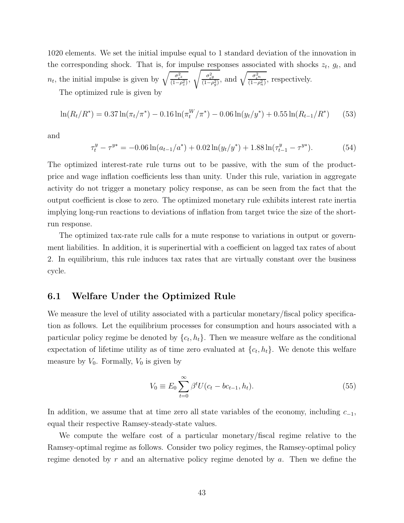1020 elements. We set the initial impulse equal to 1 standard deviation of the innovation in the corresponding shock. That is, for impulse responses associated with shocks  $z_t$ ,  $g_t$ , and  $n_t$ , the initial impulse is given by  $\sqrt{\frac{\sigma_{\epsilon}^2}{(1-\rho_z^2)}}$ ,  $\sqrt{\frac{\sigma_{\epsilon g}^2}{(1-\rho_g^2)}}$ , and  $\sqrt{\frac{\sigma_{\epsilon}^2}{(1-\rho_g^2)}}$  $\frac{\sigma_{\epsilon}^2 n}{(1-\rho_n^2)}$ , respectively.

The optimized rule is given by

$$
\ln(R_t/R^*) = 0.37 \ln(\pi_t/\pi^*) - 0.16 \ln(\pi_t^W/\pi^*) - 0.06 \ln(y_t/y^*) + 0.55 \ln(R_{t-1}/R^*) \tag{53}
$$

and

$$
\tau_t^y - \tau^{y*} = -0.06 \ln(a_{t-1}/a^*) + 0.02 \ln(y_t/y^*) + 1.88 \ln(\tau_{t-1}^y - \tau^{y*}). \tag{54}
$$

The optimized interest-rate rule turns out to be passive, with the sum of the productprice and wage inflation coefficients less than unity. Under this rule, variation in aggregate activity do not trigger a monetary policy response, as can be seen from the fact that the output coefficient is close to zero. The optimized monetary rule exhibits interest rate inertia implying long-run reactions to deviations of inflation from target twice the size of the shortrun response.

The optimized tax-rate rule calls for a mute response to variations in output or government liabilities. In addition, it is superinertial with a coefficient on lagged tax rates of about 2. In equilibrium, this rule induces tax rates that are virtually constant over the business cycle.

#### **6.1 Welfare Under the Optimized Rule**

We measure the level of utility associated with a particular monetary/fiscal policy specification as follows. Let the equilibrium processes for consumption and hours associated with a particular policy regime be denoted by  $\{c_t, h_t\}$ . Then we measure welfare as the conditional expectation of lifetime utility as of time zero evaluated at  $\{c_t, h_t\}$ . We denote this welfare measure by  $V_0$ . Formally,  $V_0$  is given by

$$
V_0 \equiv E_0 \sum_{t=0}^{\infty} \beta^t U(c_t - bc_{t-1}, h_t).
$$
\n(55)

In addition, we assume that at time zero all state variables of the economy, including  $c_{-1}$ , equal their respective Ramsey-steady-state values.

We compute the welfare cost of a particular monetary/fiscal regime relative to the Ramsey-optimal regime as follows. Consider two policy regimes, the Ramsey-optimal policy regime denoted by r and an alternative policy regime denoted by a. Then we define the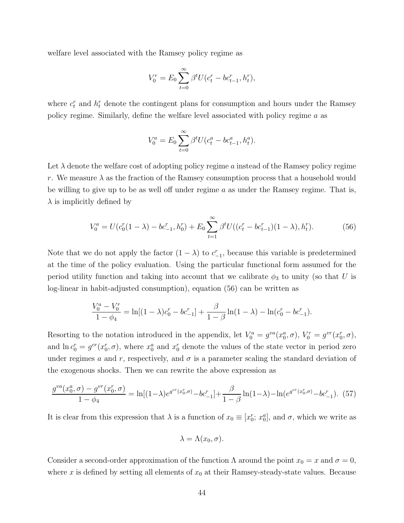welfare level associated with the Ramsey policy regime as

$$
V_0^r = E_0 \sum_{t=0}^{\infty} \beta^t U(c_t^r - bc_{t-1}^r, h_t^r),
$$

where  $c_t^r$  and  $h_t^r$  denote the contingent plans for consumption and hours under the Ramsey policy regime. Similarly, define the welfare level associated with policy regime a as

$$
V_0^a = E_0 \sum_{t=0}^{\infty} \beta^t U(c_t^a - bc_{t-1}^a, h_t^a).
$$

Let  $\lambda$  denote the welfare cost of adopting policy regime a instead of the Ramsey policy regime r. We measure  $\lambda$  as the fraction of the Ramsey consumption process that a household would be willing to give up to be as well off under regime  $a$  as under the Ramsey regime. That is,  $\lambda$  is implicitly defined by

$$
V_0^a = U(c_0^r(1 - \lambda) - bc_{-1}^r, h_0^r) + E_0 \sum_{t=1}^{\infty} \beta^t U((c_t^r - bc_{t-1}^r)(1 - \lambda), h_t^r). \tag{56}
$$

Note that we do not apply the factor  $(1 - \lambda)$  to  $c_{-1}^r$ , because this variable is predetermined at the time of the policy evaluation. Using the particular functional form assumed for the period utility function and taking into account that we calibrate  $\phi_3$  to unity (so that U is log-linear in habit-adjusted consumption), equation (56) can be written as

$$
\frac{V_0^a - V_0^r}{1 - \phi_4} = \ln[(1 - \lambda)c_0^r - bc_{-1}^r] + \frac{\beta}{1 - \beta}\ln(1 - \lambda) - \ln(c_0^r - bc_{-1}^r).
$$

Resorting to the notation introduced in the appendix, let  $V_0^a = g^{va}(x_0^a, \sigma)$ ,  $V_0^r = g^{vr}(x_0^r, \sigma)$ , and  $\ln c_0^r = g^{cr}(x_0^r, \sigma)$ , where  $x_0^a$  and  $x_0^r$  denote the values of the state vector in period zero under regimes a and r, respectively, and  $\sigma$  is a parameter scaling the standard deviation of the exogenous shocks. Then we can rewrite the above expression as

$$
\frac{g^{va}(x_0^a, \sigma) - g^{vr}(x_0^r, \sigma)}{1 - \phi_4} = \ln[(1-\lambda)e^{g^{cr}(x_0^r, \sigma)} - bc_{-1}^r] + \frac{\beta}{1 - \beta} \ln(1-\lambda) - \ln(e^{g^{cr}(x_0^r, \sigma)} - bc_{-1}^r). \tag{57}
$$

It is clear from this expression that  $\lambda$  is a function of  $x_0 \equiv [x_0^r; x_0^a]$ , and  $\sigma$ , which we write as

$$
\lambda = \Lambda(x_0, \sigma).
$$

Consider a second-order approximation of the function  $\Lambda$  around the point  $x_0 = x$  and  $\sigma = 0$ , where x is defined by setting all elements of  $x_0$  at their Ramsey-steady-state values. Because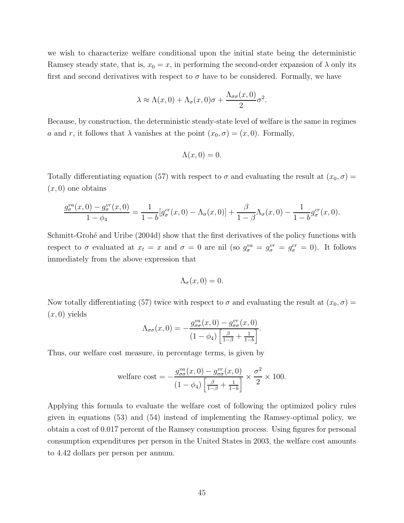we wish to characterize welfare conditional upon the initial state being the deterministic Ramsey steady state, that is,  $x_0 = x$ , in performing the second-order expansion of  $\lambda$  only its first and second derivatives with respect to  $\sigma$  have to be considered. Formally, we have

$$
\lambda \approx \Lambda(x,0) + \Lambda_{\sigma}(x,0)\sigma + \frac{\Lambda_{\sigma\sigma}(x,0)}{2}\sigma^2.
$$

Because, by construction, the deterministic steady-state level of welfare is the same in regimes a and r, it follows that  $\lambda$  vanishes at the point  $(x_0, \sigma)=(x, 0)$ . Formally,

$$
\Lambda(x,0) = 0.
$$

Totally differentiating equation (57) with respect to  $\sigma$  and evaluating the result at  $(x_0, \sigma)$  =  $(x, 0)$  one obtains

$$
\frac{g_{\sigma}^{va}(x,0) - g_{\sigma}^{vr}(x,0)}{1 - \phi_4} = \frac{1}{1 - b} [g_{\sigma}^{cr}(x,0) - \Lambda_{\sigma}(x,0)] + \frac{\beta}{1 - \beta} \Lambda_{\sigma}(x,0) - \frac{1}{1 - b} g_{\sigma}^{cr}(x,0).
$$

Schmitt-Grohé and Uribe (2004d) show that the first derivatives of the policy functions with respect to  $\sigma$  evaluated at  $x_t = x$  and  $\sigma = 0$  are nil (so  $g_{\sigma}^{va} = g_{\sigma}^{vr} = g_{\sigma}^{cr} = 0$ ). It follows immediately from the above expression that

$$
\Lambda_{\sigma}(x,0)=0.
$$

Now totally differentiating (57) twice with respect to  $\sigma$  and evaluating the result at  $(x_0, \sigma)$  =  $(x, 0)$  yields

$$
\Lambda_{\sigma\sigma}(x,0) = -\frac{g_{\sigma\sigma}^{va}(x,0) - g_{\sigma\sigma}^{vr}(x,0)}{(1-\phi_4)\left[\frac{\beta}{1-\beta} + \frac{1}{1-b}\right]}.
$$

Thus, our welfare cost measure, in percentage terms, is given by

welfare cost = 
$$
-\frac{g_{\sigma\sigma}^{va}(x,0) - g_{\sigma\sigma}^{vr}(x,0)}{(1 - \phi_4) \left[\frac{\beta}{1 - \beta} + \frac{1}{1 - b}\right]} \times \frac{\sigma^2}{2} \times 100.
$$

Applying this formula to evaluate the welfare cost of following the optimized policy rules given in equations (53) and (54) instead of implementing the Ramsey-optimal policy, we obtain a cost of 0.017 percent of the Ramsey consumption process. Using figures for personal consumption expenditures per person in the United States in 2003, the welfare cost amounts to 4.42 dollars per person per annum.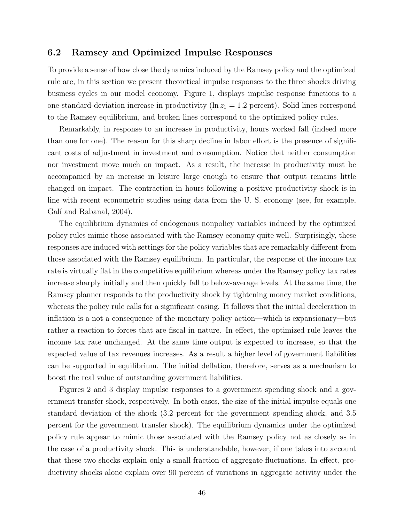#### **6.2 Ramsey and Optimized Impulse Responses**

To provide a sense of how close the dynamics induced by the Ramsey policy and the optimized rule are, in this section we present theoretical impulse responses to the three shocks driving business cycles in our model economy. Figure 1, displays impulse response functions to a one-standard-deviation increase in productivity ( $\ln z_1 = 1.2$  percent). Solid lines correspond to the Ramsey equilibrium, and broken lines correspond to the optimized policy rules.

Remarkably, in response to an increase in productivity, hours worked fall (indeed more than one for one). The reason for this sharp decline in labor effort is the presence of significant costs of adjustment in investment and consumption. Notice that neither consumption nor investment move much on impact. As a result, the increase in productivity must be accompanied by an increase in leisure large enough to ensure that output remains little changed on impact. The contraction in hours following a positive productivity shock is in line with recent econometric studies using data from the U. S. economy (see, for example, Galí and Rabanal, 2004).

The equilibrium dynamics of endogenous nonpolicy variables induced by the optimized policy rules mimic those associated with the Ramsey economy quite well. Surprisingly, these responses are induced with settings for the policy variables that are remarkably different from those associated with the Ramsey equilibrium. In particular, the response of the income tax rate is virtually flat in the competitive equilibrium whereas under the Ramsey policy tax rates increase sharply initially and then quickly fall to below-average levels. At the same time, the Ramsey planner responds to the productivity shock by tightening money market conditions, whereas the policy rule calls for a significant easing. It follows that the initial deceleration in inflation is a not a consequence of the monetary policy action—which is expansionary—but rather a reaction to forces that are fiscal in nature. In effect, the optimized rule leaves the income tax rate unchanged. At the same time output is expected to increase, so that the expected value of tax revenues increases. As a result a higher level of government liabilities can be supported in equilibrium. The initial deflation, therefore, serves as a mechanism to boost the real value of outstanding government liabilities.

Figures 2 and 3 display impulse responses to a government spending shock and a government transfer shock, respectively. In both cases, the size of the initial impulse equals one standard deviation of the shock (3.2 percent for the government spending shock, and 3.5 percent for the government transfer shock). The equilibrium dynamics under the optimized policy rule appear to mimic those associated with the Ramsey policy not as closely as in the case of a productivity shock. This is understandable, however, if one takes into account that these two shocks explain only a small fraction of aggregate fluctuations. In effect, productivity shocks alone explain over 90 percent of variations in aggregate activity under the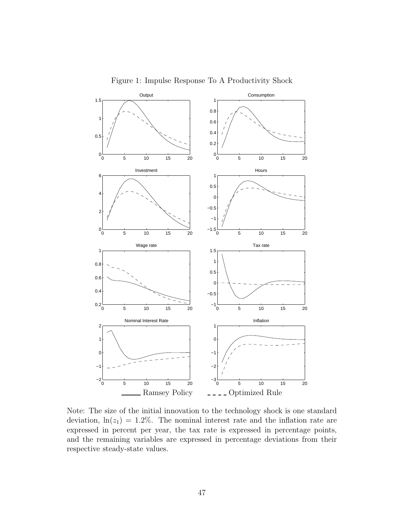

Figure 1: Impulse Response To A Productivity Shock

Note: The size of the initial innovation to the technology shock is one standard deviation,  $\ln(z_1)=1.2\%$ . The nominal interest rate and the inflation rate are expressed in percent per year, the tax rate is expressed in percentage points, and the remaining variables are expressed in percentage deviations from their respective steady-state values.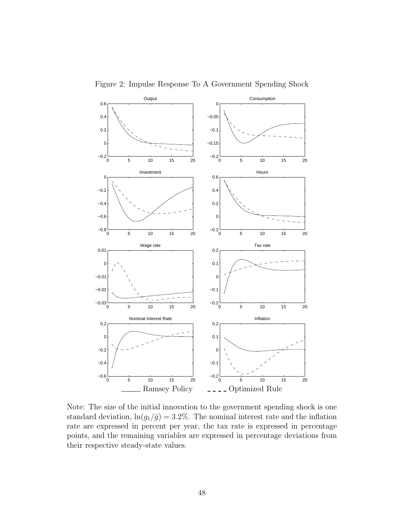

Figure 2: Impulse Response To A Government Spending Shock

Note: The size of the initial innovation to the government spending shock is one standard deviation,  $\ln(g_1/\bar{g})=3.2\%$ . The nominal interest rate and the inflation rate are expressed in percent per year, the tax rate is expressed in percentage points, and the remaining variables are expressed in percentage deviations from their respective steady-state values.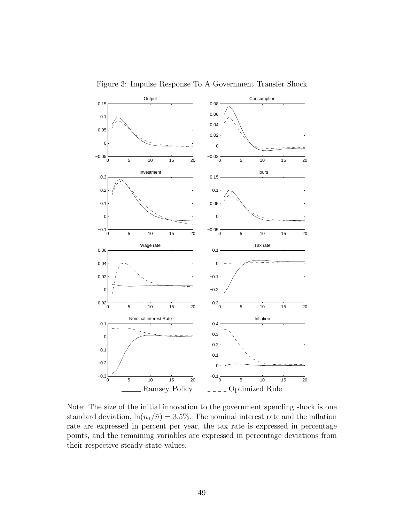

Figure 3: Impulse Response To A Government Transfer Shock

Note: The size of the initial innovation to the government spending shock is one standard deviation,  $\ln(n_1/\bar{n})=3.5\%$ . The nominal interest rate and the inflation rate are expressed in percent per year, the tax rate is expressed in percentage points, and the remaining variables are expressed in percentage deviations from their respective steady-state values.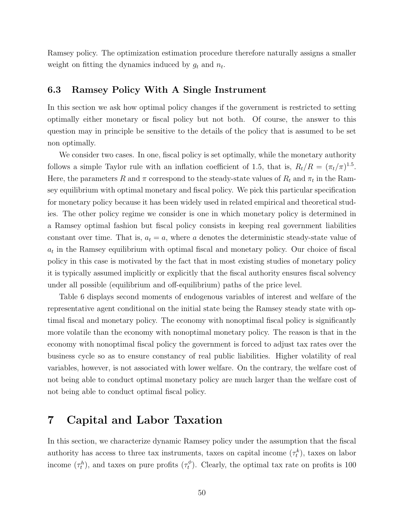Ramsey policy. The optimization estimation procedure therefore naturally assigns a smaller weight on fitting the dynamics induced by  $g_t$  and  $n_t$ .

### **6.3 Ramsey Policy With A Single Instrument**

In this section we ask how optimal policy changes if the government is restricted to setting optimally either monetary or fiscal policy but not both. Of course, the answer to this question may in principle be sensitive to the details of the policy that is assumed to be set non optimally.

We consider two cases. In one, fiscal policy is set optimally, while the monetary authority follows a simple Taylor rule with an inflation coefficient of 1.5, that is,  $R_t/R = (\pi_t/\pi)^{1.5}$ . Here, the parameters R and  $\pi$  correspond to the steady-state values of  $R_t$  and  $\pi_t$  in the Ramsey equilibrium with optimal monetary and fiscal policy. We pick this particular specification for monetary policy because it has been widely used in related empirical and theoretical studies. The other policy regime we consider is one in which monetary policy is determined in a Ramsey optimal fashion but fiscal policy consists in keeping real government liabilities constant over time. That is,  $a_t = a$ , where a denotes the deterministic steady-state value of  $a_t$  in the Ramsey equilibrium with optimal fiscal and monetary policy. Our choice of fiscal policy in this case is motivated by the fact that in most existing studies of monetary policy it is typically assumed implicitly or explicitly that the fiscal authority ensures fiscal solvency under all possible (equilibrium and off-equilibrium) paths of the price level.

Table 6 displays second moments of endogenous variables of interest and welfare of the representative agent conditional on the initial state being the Ramsey steady state with optimal fiscal and monetary policy. The economy with nonoptimal fiscal policy is significantly more volatile than the economy with nonoptimal monetary policy. The reason is that in the economy with nonoptimal fiscal policy the government is forced to adjust tax rates over the business cycle so as to ensure constancy of real public liabilities. Higher volatility of real variables, however, is not associated with lower welfare. On the contrary, the welfare cost of not being able to conduct optimal monetary policy are much larger than the welfare cost of not being able to conduct optimal fiscal policy.

### **7 Capital and Labor Taxation**

In this section, we characterize dynamic Ramsey policy under the assumption that the fiscal authority has access to three tax instruments, taxes on capital income  $(\tau_t^k)$ , taxes on labor income  $(\tau_t^h)$ , and taxes on pure profits  $(\tau_t^{\phi})$ . Clearly, the optimal tax rate on profits is 100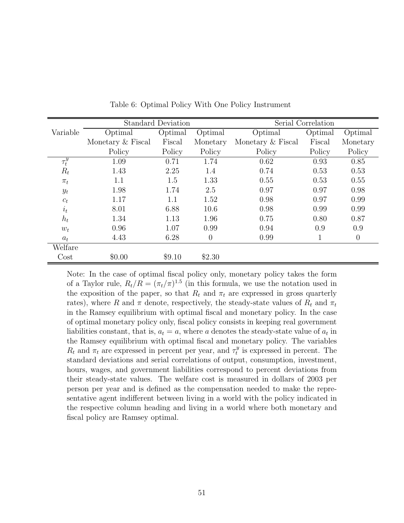|                  |                   | <b>Standard Deviation</b> |                | Serial Correlation |         |          |  |
|------------------|-------------------|---------------------------|----------------|--------------------|---------|----------|--|
| Variable         | Optimal           | Optimal                   | Optimal        | Optimal            | Optimal | Optimal  |  |
|                  | Monetary & Fiscal | Fiscal                    | Monetary       | Monetary & Fiscal  | Fiscal  | Monetary |  |
|                  | Policy            | Policy                    | Policy         | Policy             | Policy  | Policy   |  |
| $\tau^y_t$       | 1.09              | 0.71                      | 1.74           | 0.62               | 0.93    | 0.85     |  |
| $R_t$            | 1.43              | 2.25                      | 1.4            | 0.74               | 0.53    | 0.53     |  |
| $\pi_t$          | 1.1               | 1.5                       | 1.33           | 0.55               | 0.53    | 0.55     |  |
| $y_t$            | 1.98              | 1.74                      | 2.5            | 0.97               | 0.97    | 0.98     |  |
| $c_t$            | 1.17              | 1.1                       | 1.52           | 0.98               | 0.97    | 0.99     |  |
| $\dot{\imath}_t$ | 8.01              | 6.88                      | 10.6           | 0.98               | 0.99    | 0.99     |  |
| $h_t$            | 1.34              | 1.13                      | 1.96           | 0.75               | 0.80    | 0.87     |  |
| $w_t$            | 0.96              | 1.07                      | 0.99           | 0.94               | 0.9     | 0.9      |  |
| $a_t$            | 4.43              | 6.28                      | $\overline{0}$ | 0.99               | 1       | $\theta$ |  |
| Welfare          |                   |                           |                |                    |         |          |  |
| $\cos t$         | \$0.00            | \$9.10                    | \$2.30         |                    |         |          |  |

Table 6: Optimal Policy With One Policy Instrument

Note: In the case of optimal fiscal policy only, monetary policy takes the form of a Taylor rule,  $R_t/R = (\pi_t/\pi)^{1.5}$  (in this formula, we use the notation used in the exposition of the paper, so that  $R_t$  and  $\pi_t$  are expressed in gross quarterly rates), where R and  $\pi$  denote, respectively, the steady-state values of  $R_t$  and  $\pi_t$ in the Ramsey equilibrium with optimal fiscal and monetary policy. In the case of optimal monetary policy only, fiscal policy consists in keeping real government liabilities constant, that is,  $a_t = a$ , where a denotes the steady-state value of  $a_t$  in the Ramsey equilibrium with optimal fiscal and monetary policy. The variables  $R_t$  and  $\pi_t$  are expressed in percent per year, and  $\tau_t^y$  is expressed in percent. The standard deviations and serial correlations of output, consumption, investment, hours, wages, and government liabilities correspond to percent deviations from their steady-state values. The welfare cost is measured in dollars of 2003 per person per year and is defined as the compensation needed to make the representative agent indifferent between living in a world with the policy indicated in the respective column heading and living in a world where both monetary and fiscal policy are Ramsey optimal.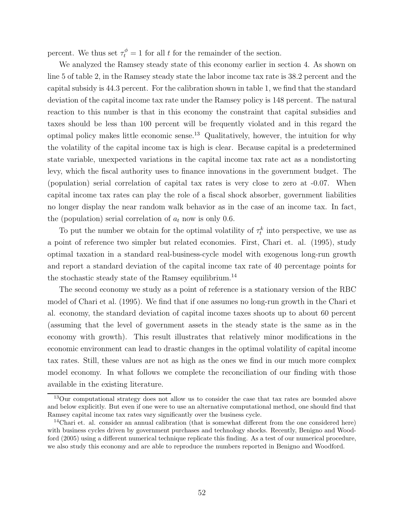percent. We thus set  $\tau_t^{\phi} = 1$  for all t for the remainder of the section.

We analyzed the Ramsey steady state of this economy earlier in section 4. As shown on line 5 of table 2, in the Ramsey steady state the labor income tax rate is 38.2 percent and the capital subsidy is 44.3 percent. For the calibration shown in table 1, we find that the standard deviation of the capital income tax rate under the Ramsey policy is 148 percent. The natural reaction to this number is that in this economy the constraint that capital subsidies and taxes should be less than 100 percent will be frequently violated and in this regard the optimal policy makes little economic sense.<sup>13</sup> Qualitatively, however, the intuition for why the volatility of the capital income tax is high is clear. Because capital is a predetermined state variable, unexpected variations in the capital income tax rate act as a nondistorting levy, which the fiscal authority uses to finance innovations in the government budget. The (population) serial correlation of capital tax rates is very close to zero at -0.07. When capital income tax rates can play the role of a fiscal shock absorber, government liabilities no longer display the near random walk behavior as in the case of an income tax. In fact, the (population) serial correlation of  $a_t$  now is only 0.6.

To put the number we obtain for the optimal volatility of  $\tau_t^k$  into perspective, we use as a point of reference two simpler but related economies. First, Chari et. al. (1995), study optimal taxation in a standard real-business-cycle model with exogenous long-run growth and report a standard deviation of the capital income tax rate of 40 percentage points for the stochastic steady state of the Ramsey equilibrium.<sup>14</sup>

The second economy we study as a point of reference is a stationary version of the RBC model of Chari et al. (1995). We find that if one assumes no long-run growth in the Chari et al. economy, the standard deviation of capital income taxes shoots up to about 60 percent (assuming that the level of government assets in the steady state is the same as in the economy with growth). This result illustrates that relatively minor modifications in the economic environment can lead to drastic changes in the optimal volatility of capital income tax rates. Still, these values are not as high as the ones we find in our much more complex model economy. In what follows we complete the reconciliation of our finding with those available in the existing literature.

<sup>&</sup>lt;sup>13</sup>Our computational strategy does not allow us to consider the case that tax rates are bounded above and below explicitly. But even if one were to use an alternative computational method, one should find that Ramsey capital income tax rates vary significantly over the business cycle.

<sup>&</sup>lt;sup>14</sup>Chari et. al. consider an annual calibration (that is somewhat different from the one considered here) with business cycles driven by government purchases and technology shocks. Recently, Benigno and Woodford (2005) using a different numerical technique replicate this finding. As a test of our numerical procedure, we also study this economy and are able to reproduce the numbers reported in Benigno and Woodford.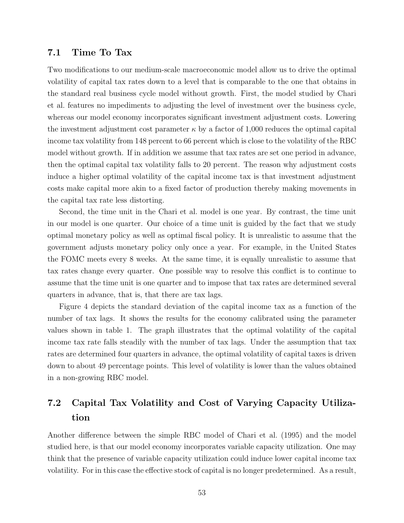#### **7.1 Time To Tax**

Two modifications to our medium-scale macroeconomic model allow us to drive the optimal volatility of capital tax rates down to a level that is comparable to the one that obtains in the standard real business cycle model without growth. First, the model studied by Chari et al. features no impediments to adjusting the level of investment over the business cycle, whereas our model economy incorporates significant investment adjustment costs. Lowering the investment adjustment cost parameter  $\kappa$  by a factor of 1,000 reduces the optimal capital income tax volatility from 148 percent to 66 percent which is close to the volatility of the RBC model without growth. If in addition we assume that tax rates are set one period in advance, then the optimal capital tax volatility falls to 20 percent. The reason why adjustment costs induce a higher optimal volatility of the capital income tax is that investment adjustment costs make capital more akin to a fixed factor of production thereby making movements in the capital tax rate less distorting.

Second, the time unit in the Chari et al. model is one year. By contrast, the time unit in our model is one quarter. Our choice of a time unit is guided by the fact that we study optimal monetary policy as well as optimal fiscal policy. It is unrealistic to assume that the government adjusts monetary policy only once a year. For example, in the United States the FOMC meets every 8 weeks. At the same time, it is equally unrealistic to assume that tax rates change every quarter. One possible way to resolve this conflict is to continue to assume that the time unit is one quarter and to impose that tax rates are determined several quarters in advance, that is, that there are tax lags.

Figure 4 depicts the standard deviation of the capital income tax as a function of the number of tax lags. It shows the results for the economy calibrated using the parameter values shown in table 1. The graph illustrates that the optimal volatility of the capital income tax rate falls steadily with the number of tax lags. Under the assumption that tax rates are determined four quarters in advance, the optimal volatility of capital taxes is driven down to about 49 percentage points. This level of volatility is lower than the values obtained in a non-growing RBC model.

# **7.2 Capital Tax Volatility and Cost of Varying Capacity Utilization**

Another difference between the simple RBC model of Chari et al. (1995) and the model studied here, is that our model economy incorporates variable capacity utilization. One may think that the presence of variable capacity utilization could induce lower capital income tax volatility. For in this case the effective stock of capital is no longer predetermined. As a result,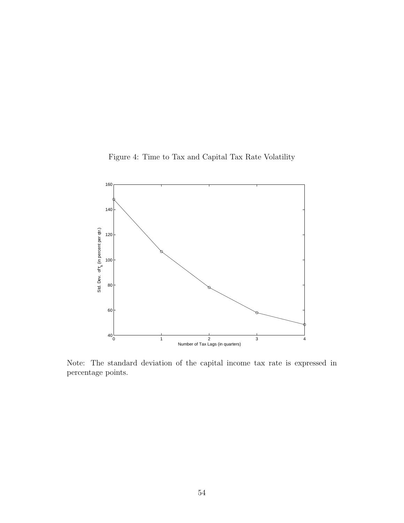Figure 4: Time to Tax and Capital Tax Rate Volatility



Note: The standard deviation of the capital income tax rate is expressed in percentage points.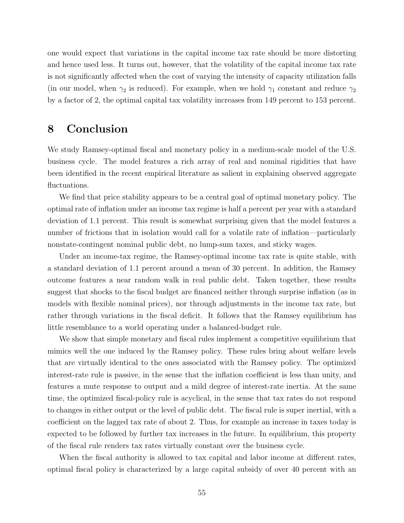one would expect that variations in the capital income tax rate should be more distorting and hence used less. It turns out, however, that the volatility of the capital income tax rate is not significantly affected when the cost of varying the intensity of capacity utilization falls (in our model, when  $\gamma_2$  is reduced). For example, when we hold  $\gamma_1$  constant and reduce  $\gamma_2$ by a factor of 2, the optimal capital tax volatility increases from 149 percent to 153 percent.

## **8 Conclusion**

We study Ramsey-optimal fiscal and monetary policy in a medium-scale model of the U.S. business cycle. The model features a rich array of real and nominal rigidities that have been identified in the recent empirical literature as salient in explaining observed aggregate fluctuations.

We find that price stability appears to be a central goal of optimal monetary policy. The optimal rate of inflation under an income tax regime is half a percent per year with a standard deviation of 1.1 percent. This result is somewhat surprising given that the model features a number of frictions that in isolation would call for a volatile rate of inflation—particularly nonstate-contingent nominal public debt, no lump-sum taxes, and sticky wages.

Under an income-tax regime, the Ramsey-optimal income tax rate is quite stable, with a standard deviation of 1.1 percent around a mean of 30 percent. In addition, the Ramsey outcome features a near random walk in real public debt. Taken together, these results suggest that shocks to the fiscal budget are financed neither through surprise inflation (as in models with flexible nominal prices), nor through adjustments in the income tax rate, but rather through variations in the fiscal deficit. It follows that the Ramsey equilibrium has little resemblance to a world operating under a balanced-budget rule.

We show that simple monetary and fiscal rules implement a competitive equilibrium that mimics well the one induced by the Ramsey policy. These rules bring about welfare levels that are virtually identical to the ones associated with the Ramsey policy. The optimized interest-rate rule is passive, in the sense that the inflation coefficient is less than unity, and features a mute response to output and a mild degree of interest-rate inertia. At the same time, the optimized fiscal-policy rule is acyclical, in the sense that tax rates do not respond to changes in either output or the level of public debt. The fiscal rule is super inertial, with a coefficient on the lagged tax rate of about 2. Thus, for example an increase in taxes today is expected to be followed by further tax increases in the future. In equilibrium, this property of the fiscal rule renders tax rates virtually constant over the business cycle.

When the fiscal authority is allowed to tax capital and labor income at different rates, optimal fiscal policy is characterized by a large capital subsidy of over 40 percent with an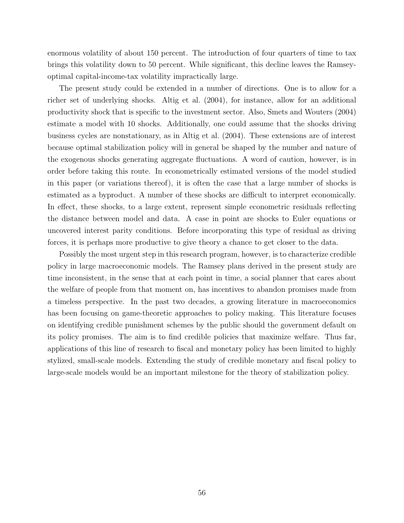enormous volatility of about 150 percent. The introduction of four quarters of time to tax brings this volatility down to 50 percent. While significant, this decline leaves the Ramseyoptimal capital-income-tax volatility impractically large.

The present study could be extended in a number of directions. One is to allow for a richer set of underlying shocks. Altig et al. (2004), for instance, allow for an additional productivity shock that is specific to the investment sector. Also, Smets and Wouters (2004) estimate a model with 10 shocks. Additionally, one could assume that the shocks driving business cycles are nonstationary, as in Altig et al. (2004). These extensions are of interest because optimal stabilization policy will in general be shaped by the number and nature of the exogenous shocks generating aggregate fluctuations. A word of caution, however, is in order before taking this route. In econometrically estimated versions of the model studied in this paper (or variations thereof), it is often the case that a large number of shocks is estimated as a byproduct. A number of these shocks are difficult to interpret economically. In effect, these shocks, to a large extent, represent simple econometric residuals reflecting the distance between model and data. A case in point are shocks to Euler equations or uncovered interest parity conditions. Before incorporating this type of residual as driving forces, it is perhaps more productive to give theory a chance to get closer to the data.

Possibly the most urgent step in this research program, however, is to characterize credible policy in large macroeconomic models. The Ramsey plans derived in the present study are time inconsistent, in the sense that at each point in time, a social planner that cares about the welfare of people from that moment on, has incentives to abandon promises made from a timeless perspective. In the past two decades, a growing literature in macroeconomics has been focusing on game-theoretic approaches to policy making. This literature focuses on identifying credible punishment schemes by the public should the government default on its policy promises. The aim is to find credible policies that maximize welfare. Thus far, applications of this line of research to fiscal and monetary policy has been limited to highly stylized, small-scale models. Extending the study of credible monetary and fiscal policy to large-scale models would be an important milestone for the theory of stabilization policy.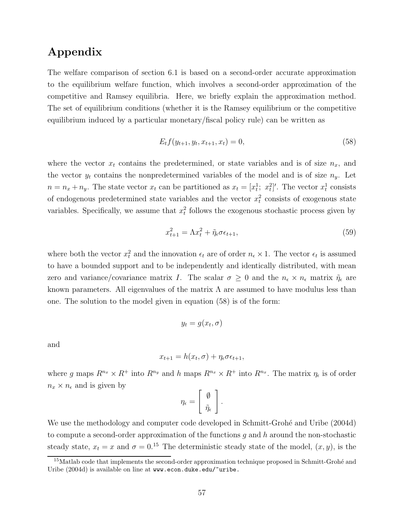# **Appendix**

The welfare comparison of section 6.1 is based on a second-order accurate approximation to the equilibrium welfare function, which involves a second-order approximation of the competitive and Ramsey equilibria. Here, we briefly explain the approximation method. The set of equilibrium conditions (whether it is the Ramsey equilibrium or the competitive equilibrium induced by a particular monetary/fiscal policy rule) can be written as

$$
E_t f(y_{t+1}, y_t, x_{t+1}, x_t) = 0,\t\t(58)
$$

where the vector  $x_t$  contains the predetermined, or state variables and is of size  $n_x$ , and the vector  $y_t$  contains the nonpredetermined variables of the model and is of size  $n_y$ . Let  $n = n_x + n_y$ . The state vector  $x_t$  can be partitioned as  $x_t = [x_t^1; x_t^2]'$ . The vector  $x_t^1$  consists of endogenous predetermined state variables and the vector  $x_t^2$  consists of exogenous state variables. Specifically, we assume that  $x_t^2$  follows the exogenous stochastic process given by

$$
x_{t+1}^2 = \Lambda x_t^2 + \tilde{\eta}_\epsilon \sigma \epsilon_{t+1},\tag{59}
$$

where both the vector  $x_t^2$  and the innovation  $\epsilon_t$  are of order  $n_{\epsilon} \times 1$ . The vector  $\epsilon_t$  is assumed to have a bounded support and to be independently and identically distributed, with mean zero and variance/covariance matrix I. The scalar  $\sigma \geq 0$  and the  $n_{\epsilon} \times n_{\epsilon}$  matrix  $\tilde{\eta}_{\epsilon}$  are known parameters. All eigenvalues of the matrix  $\Lambda$  are assumed to have modulus less than one. The solution to the model given in equation (58) is of the form:

$$
y_t = g(x_t, \sigma)
$$

and

$$
x_{t+1} = h(x_t, \sigma) + \eta_{\epsilon} \sigma \epsilon_{t+1},
$$

where g maps  $R^{n_x} \times R^+$  into  $R^{n_y}$  and h maps  $R^{n_x} \times R^+$  into  $R^{n_x}$ . The matrix  $\eta_{\epsilon}$  is of order  $n_x \times n_{\epsilon}$  and is given by

$$
\eta_\epsilon = \left[ \begin{array}{c} \emptyset \\ \tilde \eta_\epsilon \end{array} \right].
$$

We use the methodology and computer code developed in Schmitt-Grohé and Uribe (2004d) to compute a second-order approximation of the functions  $g$  and  $h$  around the non-stochastic steady state,  $x_t = x$  and  $\sigma = 0.15$  The deterministic steady state of the model,  $(x, y)$ , is the

 $15$ Matlab code that implements the second-order approximation technique proposed in Schmitt-Grohé and Uribe (2004d) is available on line at www.econ.duke.edu/~uribe.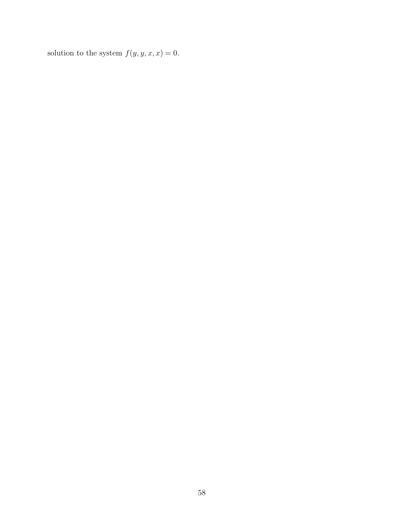solution to the system  $f(y, y, x, x) = 0$ .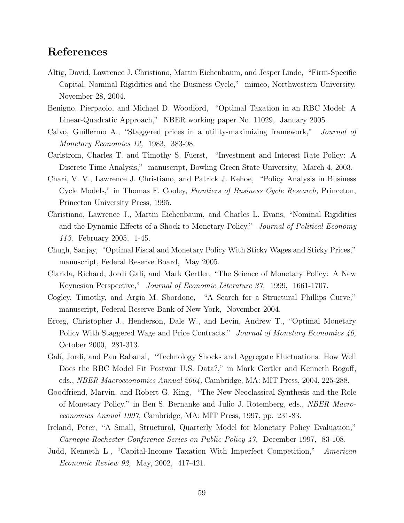### **References**

- Altig, David, Lawrence J. Christiano, Martin Eichenbaum, and Jesper Linde, "Firm-Specific Capital, Nominal Rigidities and the Business Cycle," mimeo, Northwestern University, November 28, 2004.
- Benigno, Pierpaolo, and Michael D. Woodford, "Optimal Taxation in an RBC Model: A Linear-Quadratic Approach," NBER working paper No. 11029, January 2005.
- Calvo, Guillermo A., "Staggered prices in a utility-maximizing framework," *Journal of Monetary Economics 12,* 1983, 383-98.
- Carlstrom, Charles T. and Timothy S. Fuerst, "Investment and Interest Rate Policy: A Discrete Time Analysis," manuscript, Bowling Green State University, March 4, 2003.
- Chari, V. V., Lawrence J. Christiano, and Patrick J. Kehoe, "Policy Analysis in Business Cycle Models," in Thomas F. Cooley, *Frontiers of Business Cycle Research,* Princeton, Princeton University Press, 1995.
- Christiano, Lawrence J., Martin Eichenbaum, and Charles L. Evans, "Nominal Rigidities and the Dynamic Effects of a Shock to Monetary Policy," *Journal of Political Economy 113,* February 2005, 1-45.
- Chugh, Sanjay, "Optimal Fiscal and Monetary Policy With Sticky Wages and Sticky Prices," manuscript, Federal Reserve Board, May 2005.
- Clarida, Richard, Jordi Gal´ı, and Mark Gertler, "The Science of Monetary Policy: A New Keynesian Perspective," *Journal of Economic Literature 37,* 1999, 1661-1707.
- Cogley, Timothy, and Argia M. Sbordone, "A Search for a Structural Phillips Curve," manuscript, Federal Reserve Bank of New York, November 2004.
- Erceg, Christopher J., Henderson, Dale W., and Levin, Andrew T., "Optimal Monetary Policy With Staggered Wage and Price Contracts," *Journal of Monetary Economics 46,* October 2000, 281-313.
- Galí, Jordi, and Pau Rabanal, "Technology Shocks and Aggregate Fluctuations: How Well Does the RBC Model Fit Postwar U.S. Data?," in Mark Gertler and Kenneth Rogoff, eds., *NBER Macroeconomics Annual 2004,* Cambridge, MA: MIT Press, 2004, 225-288.
- Goodfriend, Marvin, and Robert G. King, "The New Neoclassical Synthesis and the Role of Monetary Policy," in Ben S. Bernanke and Julio J. Rotemberg, eds., *NBER Macroeconomics Annual 1997,* Cambridge, MA: MIT Press, 1997, pp. 231-83.
- Ireland, Peter, "A Small, Structural, Quarterly Model for Monetary Policy Evaluation," *Carnegie-Rochester Conference Series on Public Policy 47,* December 1997, 83-108.
- Judd, Kenneth L., "Capital-Income Taxation With Imperfect Competition," *American Economic Review 92,* May, 2002, 417-421.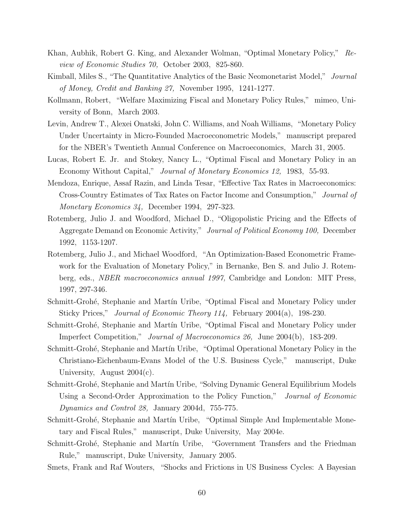- Khan, Aubhik, Robert G. King, and Alexander Wolman, "Optimal Monetary Policy," *Review of Economic Studies 70,* October 2003, 825-860.
- Kimball, Miles S., "The Quantitative Analytics of the Basic Neomonetarist Model," *Journal of Money, Credit and Banking 27,* November 1995, 1241-1277.
- Kollmann, Robert, "Welfare Maximizing Fiscal and Monetary Policy Rules," mimeo, University of Bonn, March 2003.
- Levin, Andrew T., Alexei Onatski, John C. Williams, and Noah Williams, "Monetary Policy Under Uncertainty in Micro-Founded Macroeconometric Models," manuscript prepared for the NBER's Twentieth Annual Conference on Macroeconomics, March 31, 2005.
- Lucas, Robert E. Jr. and Stokey, Nancy L., "Optimal Fiscal and Monetary Policy in an Economy Without Capital," *Journal of Monetary Economics 12,* 1983, 55-93.
- Mendoza, Enrique, Assaf Razin, and Linda Tesar, "Effective Tax Rates in Macroeconomics: Cross-Country Estimates of Tax Rates on Factor Income and Consumption," *Journal of Monetary Economics 34,* December 1994, 297-323.
- Rotemberg, Julio J. and Woodford, Michael D., "Oligopolistic Pricing and the Effects of Aggregate Demand on Economic Activity," *Journal of Political Economy 100,* December 1992, 1153-1207.
- Rotemberg, Julio J., and Michael Woodford, "An Optimization-Based Econometric Framework for the Evaluation of Monetary Policy," in Bernanke, Ben S. and Julio J. Rotemberg, eds., *NBER macroeconomics annual 1997,* Cambridge and London: MIT Press, 1997, 297-346.
- Schmitt-Grohé, Stephanie and Martín Uribe, "Optimal Fiscal and Monetary Policy under Sticky Prices," *Journal of Economic Theory 114,* February 2004(a), 198-230.
- Schmitt-Grohé, Stephanie and Martín Uribe, "Optimal Fiscal and Monetary Policy under Imperfect Competition," *Journal of Macroeconomics 26,* June 2004(b), 183-209.
- Schmitt-Grohé, Stephanie and Martín Uribe, "Optimal Operational Monetary Policy in the Christiano-Eichenbaum-Evans Model of the U.S. Business Cycle," manuscript, Duke University, August  $2004(c)$ .
- Schmitt-Grohé, Stephanie and Martín Uribe, "Solving Dynamic General Equilibrium Models Using a Second-Order Approximation to the Policy Function," *Journal of Economic Dynamics and Control 28,* January 2004d, 755-775.
- Schmitt-Grohé, Stephanie and Martín Uribe, "Optimal Simple And Implementable Monetary and Fiscal Rules," manuscript, Duke University, May 2004e.
- Schmitt-Grohé, Stephanie and Martín Uribe, "Government Transfers and the Friedman Rule," manuscript, Duke University, January 2005.
- Smets, Frank and Raf Wouters, "Shocks and Frictions in US Business Cycles: A Bayesian